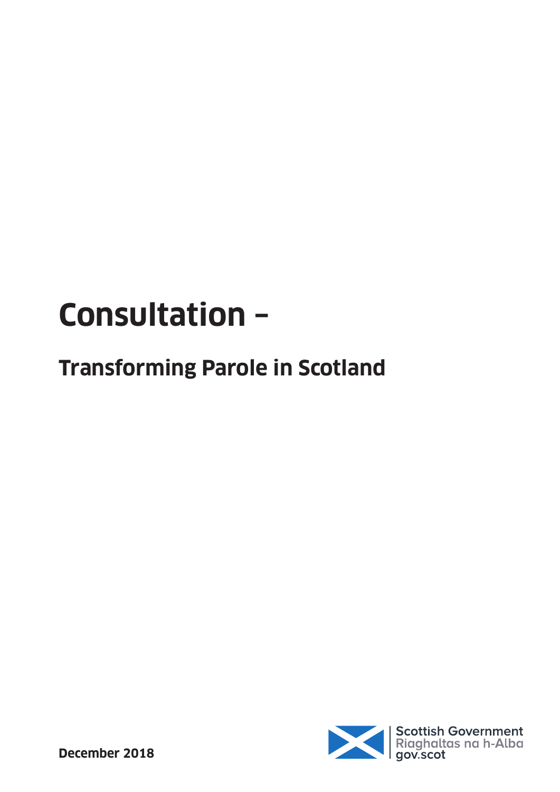# **Consultation –**

## **Transforming Parole in Scotland**

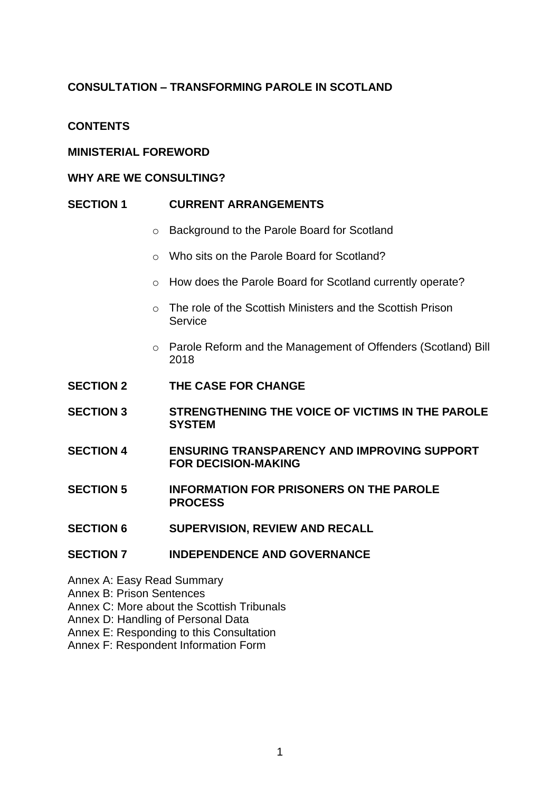## **CONSULTATION – TRANSFORMING PAROLE IN SCOTLAND**

## **CONTENTS**

#### **MINISTERIAL FOREWORD**

#### **WHY ARE WE CONSULTING?**

#### **SECTION 1 CURRENT ARRANGEMENTS**

- o Background to the Parole Board for Scotland
- o Who sits on the Parole Board for Scotland?
- o How does the Parole Board for Scotland currently operate?
- o The role of the Scottish Ministers and the Scottish Prison **Service**
- o Parole Reform and the Management of Offenders (Scotland) Bill 2018
- **SECTION 2 THE CASE FOR CHANGE**
- **SECTION 3 STRENGTHENING THE VOICE OF VICTIMS IN THE PAROLE SYSTEM**
- **SECTION 4 ENSURING TRANSPARENCY AND IMPROVING SUPPORT FOR DECISION-MAKING**
- **SECTION 5 INFORMATION FOR PRISONERS ON THE PAROLE PROCESS**
- **SECTION 6 SUPERVISION, REVIEW AND RECALL**

#### **SECTION 7 INDEPENDENCE AND GOVERNANCE**

- Annex A: Easy Read Summary
- Annex B: Prison Sentences
- Annex C: More about the Scottish Tribunals
- Annex D: Handling of Personal Data
- Annex E: Responding to this Consultation
- Annex F: Respondent Information Form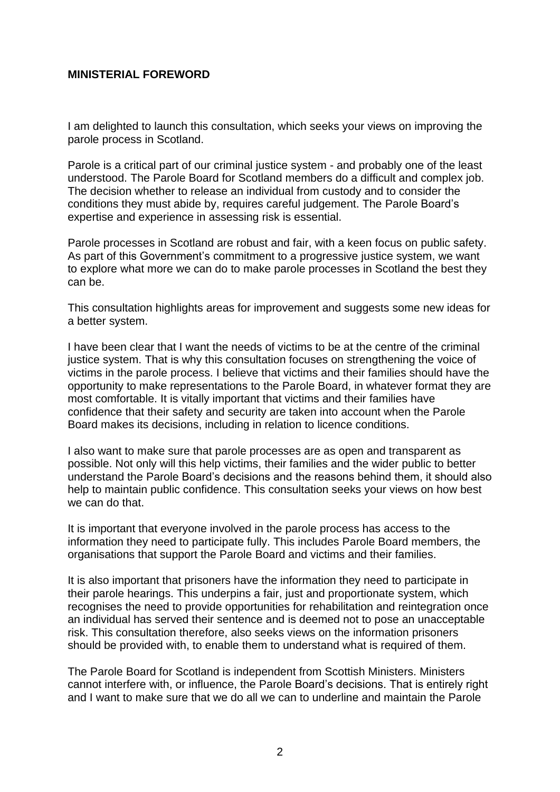#### **MINISTERIAL FOREWORD**

I am delighted to launch this consultation, which seeks your views on improving the parole process in Scotland.

Parole is a critical part of our criminal justice system - and probably one of the least understood. The Parole Board for Scotland members do a difficult and complex job. The decision whether to release an individual from custody and to consider the conditions they must abide by, requires careful judgement. The Parole Board's expertise and experience in assessing risk is essential.

Parole processes in Scotland are robust and fair, with a keen focus on public safety. As part of this Government's commitment to a progressive justice system, we want to explore what more we can do to make parole processes in Scotland the best they can be.

This consultation highlights areas for improvement and suggests some new ideas for a better system.

I have been clear that I want the needs of victims to be at the centre of the criminal justice system. That is why this consultation focuses on strengthening the voice of victims in the parole process. I believe that victims and their families should have the opportunity to make representations to the Parole Board, in whatever format they are most comfortable. It is vitally important that victims and their families have confidence that their safety and security are taken into account when the Parole Board makes its decisions, including in relation to licence conditions.

I also want to make sure that parole processes are as open and transparent as possible. Not only will this help victims, their families and the wider public to better understand the Parole Board's decisions and the reasons behind them, it should also help to maintain public confidence. This consultation seeks your views on how best we can do that.

It is important that everyone involved in the parole process has access to the information they need to participate fully. This includes Parole Board members, the organisations that support the Parole Board and victims and their families.

It is also important that prisoners have the information they need to participate in their parole hearings. This underpins a fair, just and proportionate system, which recognises the need to provide opportunities for rehabilitation and reintegration once an individual has served their sentence and is deemed not to pose an unacceptable risk. This consultation therefore, also seeks views on the information prisoners should be provided with, to enable them to understand what is required of them.

The Parole Board for Scotland is independent from Scottish Ministers. Ministers cannot interfere with, or influence, the Parole Board's decisions. That is entirely right and I want to make sure that we do all we can to underline and maintain the Parole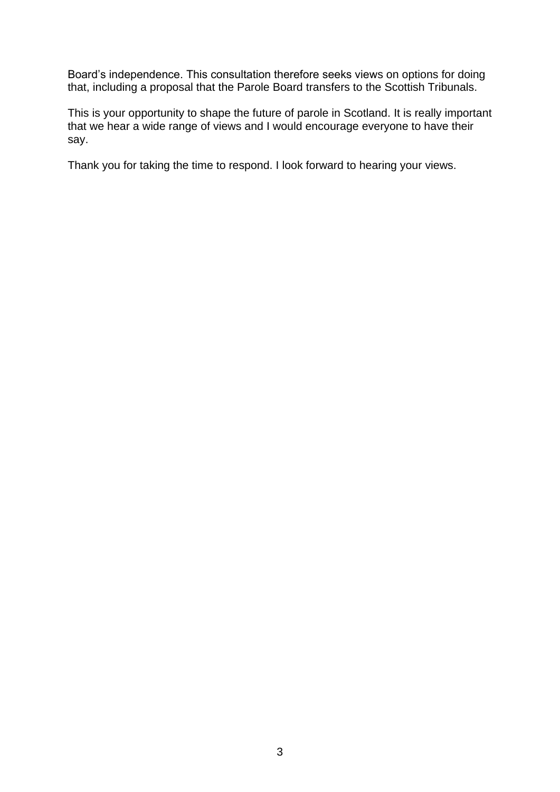Board's independence. This consultation therefore seeks views on options for doing that, including a proposal that the Parole Board transfers to the Scottish Tribunals.

This is your opportunity to shape the future of parole in Scotland. It is really important that we hear a wide range of views and I would encourage everyone to have their say.

Thank you for taking the time to respond. I look forward to hearing your views.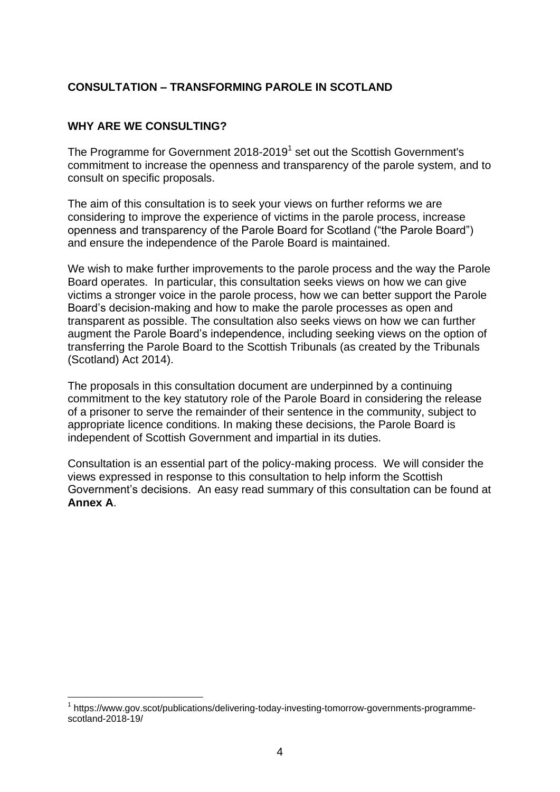## **CONSULTATION – TRANSFORMING PAROLE IN SCOTLAND**

#### **WHY ARE WE CONSULTING?**

1

The Programme for Government 2018-2019<sup>1</sup> set out the Scottish Government's commitment to increase the openness and transparency of the parole system, and to consult on specific proposals.

The aim of this consultation is to seek your views on further reforms we are considering to improve the experience of victims in the parole process, increase openness and transparency of the Parole Board for Scotland ("the Parole Board") and ensure the independence of the Parole Board is maintained.

We wish to make further improvements to the parole process and the way the Parole Board operates. In particular, this consultation seeks views on how we can give victims a stronger voice in the parole process, how we can better support the Parole Board's decision-making and how to make the parole processes as open and transparent as possible. The consultation also seeks views on how we can further augment the Parole Board's independence, including seeking views on the option of transferring the Parole Board to the Scottish Tribunals (as created by the Tribunals (Scotland) Act 2014).

The proposals in this consultation document are underpinned by a continuing commitment to the key statutory role of the Parole Board in considering the release of a prisoner to serve the remainder of their sentence in the community, subject to appropriate licence conditions. In making these decisions, the Parole Board is independent of Scottish Government and impartial in its duties.

Consultation is an essential part of the policy-making process. We will consider the views expressed in response to this consultation to help inform the Scottish Government's decisions. An easy read summary of this consultation can be found at **Annex A**.

<sup>1</sup> https://www.gov.scot/publications/delivering-today-investing-tomorrow-governments-programmescotland-2018-19/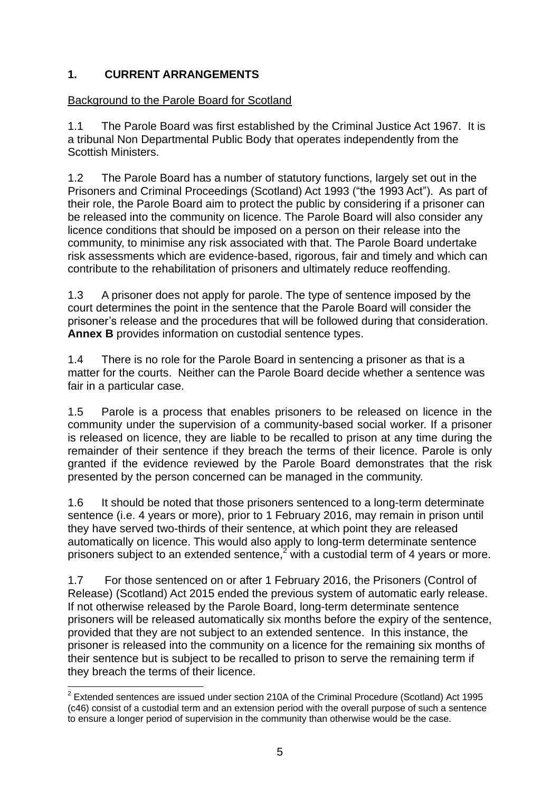## **1. CURRENT ARRANGEMENTS**

## Background to the Parole Board for Scotland

1.1 The Parole Board was first established by the Criminal Justice Act 1967. It is a tribunal Non Departmental Public Body that operates independently from the Scottish Ministers.

1.2 The Parole Board has a number of statutory functions, largely set out in the Prisoners and Criminal Proceedings (Scotland) Act 1993 ("the 1993 Act"). As part of their role, the Parole Board aim to protect the public by considering if a prisoner can be released into the community on licence. The Parole Board will also consider any licence conditions that should be imposed on a person on their release into the community, to minimise any risk associated with that. The Parole Board undertake risk assessments which are evidence-based, rigorous, fair and timely and which can contribute to the rehabilitation of prisoners and ultimately reduce reoffending.

1.3 A prisoner does not apply for parole. The type of sentence imposed by the court determines the point in the sentence that the Parole Board will consider the prisoner's release and the procedures that will be followed during that consideration. **Annex B** provides information on custodial sentence types.

1.4 There is no role for the Parole Board in sentencing a prisoner as that is a matter for the courts. Neither can the Parole Board decide whether a sentence was fair in a particular case.

1.5 Parole is a process that enables prisoners to be released on licence in the community under the supervision of a community-based social worker. If a prisoner is released on licence, they are liable to be recalled to prison at any time during the remainder of their sentence if they breach the terms of their licence. Parole is only granted if the evidence reviewed by the Parole Board demonstrates that the risk presented by the person concerned can be managed in the community.

1.6 It should be noted that those prisoners sentenced to a long-term determinate sentence (i.e. 4 years or more), prior to 1 February 2016, may remain in prison until they have served two-thirds of their sentence, at which point they are released automatically on licence. This would also apply to long-term determinate sentence prisoners subject to an extended sentence,<sup>2</sup> with a custodial term of 4 years or more.

1.7 For those sentenced on or after 1 February 2016, the Prisoners (Control of Release) (Scotland) Act 2015 ended the previous system of automatic early release. If not otherwise released by the Parole Board, long-term determinate sentence prisoners will be released automatically six months before the expiry of the sentence, provided that they are not subject to an extended sentence. In this instance, the prisoner is released into the community on a licence for the remaining six months of their sentence but is subject to be recalled to prison to serve the remaining term if they breach the terms of their licence.

<sup>1</sup>  $2$  Extended sentences are issued under section 210A of the Criminal Procedure (Scotland) Act 1995 (c46) consist of a custodial term and an extension period with the overall purpose of such a sentence to ensure a longer period of supervision in the community than otherwise would be the case.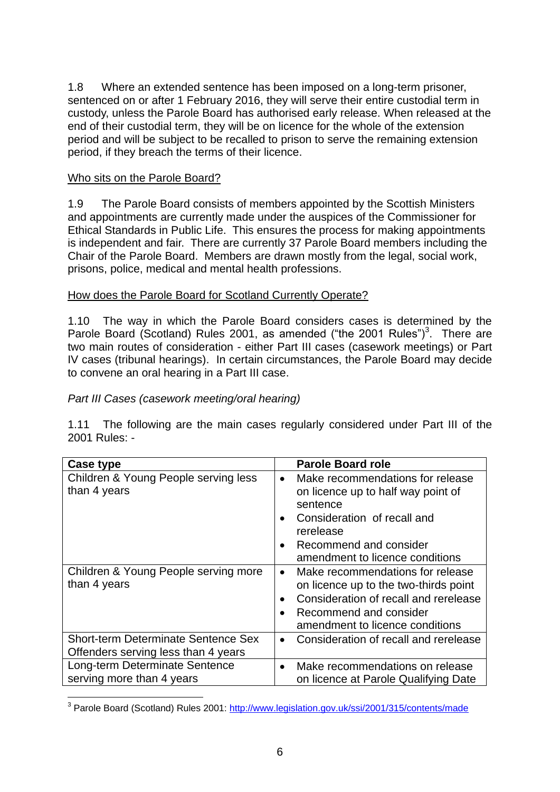1.8 Where an extended sentence has been imposed on a long-term prisoner, sentenced on or after 1 February 2016, they will serve their entire custodial term in custody, unless the Parole Board has authorised early release. When released at the end of their custodial term, they will be on licence for the whole of the extension period and will be subject to be recalled to prison to serve the remaining extension period, if they breach the terms of their licence.

## Who sits on the Parole Board?

1.9 The Parole Board consists of members appointed by the Scottish Ministers and appointments are currently made under the auspices of the Commissioner for Ethical Standards in Public Life. This ensures the process for making appointments is independent and fair. There are currently 37 Parole Board members including the Chair of the Parole Board. Members are drawn mostly from the legal, social work, prisons, police, medical and mental health professions.

#### How does the Parole Board for Scotland Currently Operate?

1.10 The way in which the Parole Board considers cases is determined by the Parole Board (Scotland) Rules 2001, as amended ("the 2001 Rules")<sup>3</sup>. There are two main routes of consideration - either Part III cases (casework meetings) or Part IV cases (tribunal hearings). In certain circumstances, the Parole Board may decide to convene an oral hearing in a Part III case.

#### *Part III Cases (casework meeting/oral hearing)*

1.11 The following are the main cases regularly considered under Part III of the 2001 Rules: -

| Case type                                                                         | <b>Parole Board role</b>                                                                                                                                                                                                           |
|-----------------------------------------------------------------------------------|------------------------------------------------------------------------------------------------------------------------------------------------------------------------------------------------------------------------------------|
| Children & Young People serving less<br>than 4 years                              | Make recommendations for release<br>$\bullet$<br>on licence up to half way point of<br>sentence<br>Consideration of recall and<br>$\bullet$<br>rerelease<br>Recommend and consider<br>$\bullet$<br>amendment to licence conditions |
| Children & Young People serving more<br>than 4 years                              | Make recommendations for release<br>$\bullet$<br>on licence up to the two-thirds point<br>Consideration of recall and rerelease<br>$\bullet$<br>Recommend and consider<br>$\bullet$<br>amendment to licence conditions             |
| <b>Short-term Determinate Sentence Sex</b><br>Offenders serving less than 4 years | Consideration of recall and rerelease<br>$\bullet$                                                                                                                                                                                 |
| Long-term Determinate Sentence<br>serving more than 4 years                       | Make recommendations on release<br>$\bullet$<br>on licence at Parole Qualifying Date                                                                                                                                               |

<sup>1</sup> <sup>3</sup> Parole Board (Scotland) Rules 2001:<http://www.legislation.gov.uk/ssi/2001/315/contents/made>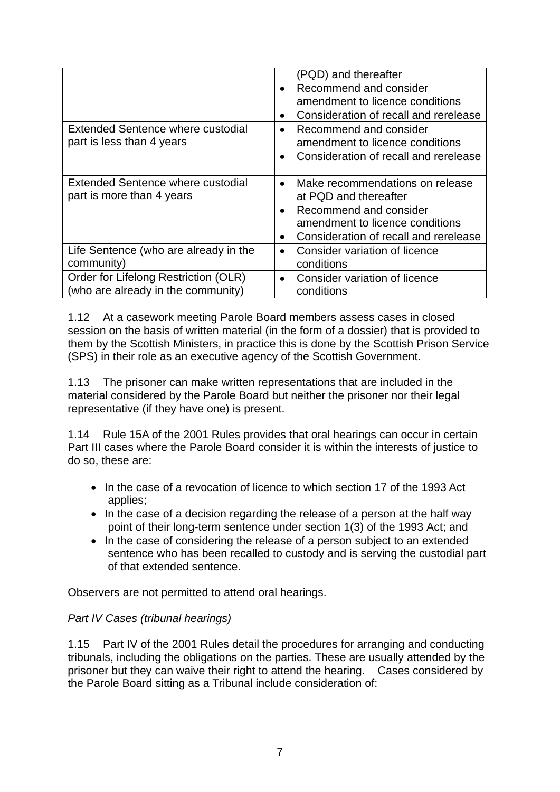|                                                                            | (PQD) and thereafter<br>Recommend and consider<br>$\bullet$<br>amendment to licence conditions<br>Consideration of recall and rerelease<br>$\bullet$                                                  |
|----------------------------------------------------------------------------|-------------------------------------------------------------------------------------------------------------------------------------------------------------------------------------------------------|
| <b>Extended Sentence where custodial</b><br>part is less than 4 years      | Recommend and consider<br>$\bullet$<br>amendment to licence conditions<br>Consideration of recall and rerelease<br>$\bullet$                                                                          |
| <b>Extended Sentence where custodial</b><br>part is more than 4 years      | Make recommendations on release<br>$\bullet$<br>at PQD and thereafter<br>Recommend and consider<br>$\bullet$<br>amendment to licence conditions<br>Consideration of recall and rerelease<br>$\bullet$ |
| Life Sentence (who are already in the<br>community)                        | Consider variation of licence<br>$\bullet$<br>conditions                                                                                                                                              |
| Order for Lifelong Restriction (OLR)<br>(who are already in the community) | Consider variation of licence<br>$\bullet$<br>conditions                                                                                                                                              |

1.12 At a casework meeting Parole Board members assess cases in closed session on the basis of written material (in the form of a dossier) that is provided to them by the Scottish Ministers, in practice this is done by the Scottish Prison Service (SPS) in their role as an executive agency of the Scottish Government.

1.13 The prisoner can make written representations that are included in the material considered by the Parole Board but neither the prisoner nor their legal representative (if they have one) is present.

1.14 Rule 15A of the 2001 Rules provides that oral hearings can occur in certain Part III cases where the Parole Board consider it is within the interests of justice to do so, these are:

- In the case of a revocation of licence to which section 17 of the 1993 Act applies;
- In the case of a decision regarding the release of a person at the half way point of their long-term sentence under section 1(3) of the 1993 Act; and
- In the case of considering the release of a person subiect to an extended sentence who has been recalled to custody and is serving the custodial part of that extended sentence.

Observers are not permitted to attend oral hearings.

#### *Part IV Cases (tribunal hearings)*

1.15 Part IV of the 2001 Rules detail the procedures for arranging and conducting tribunals, including the obligations on the parties. These are usually attended by the prisoner but they can waive their right to attend the hearing. Cases considered by the Parole Board sitting as a Tribunal include consideration of: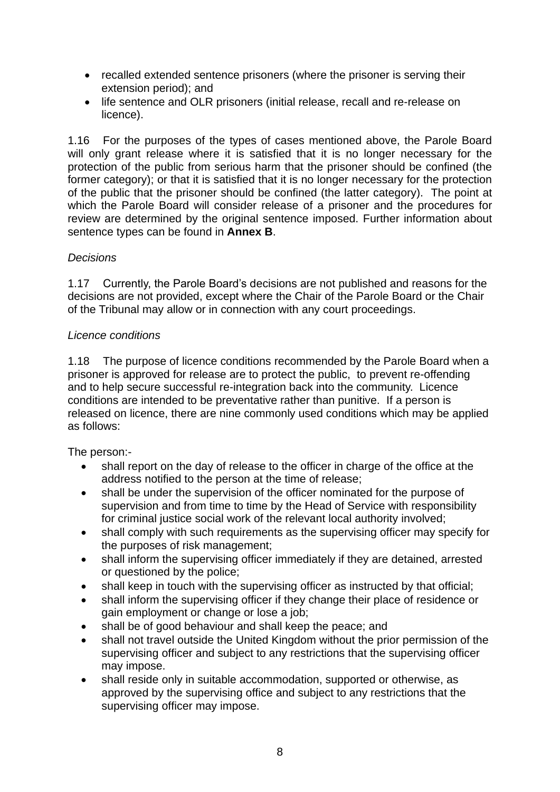- recalled extended sentence prisoners (where the prisoner is serving their extension period); and
- life sentence and OLR prisoners (initial release, recall and re-release on licence).

1.16 For the purposes of the types of cases mentioned above, the Parole Board will only grant release where it is satisfied that it is no longer necessary for the protection of the public from serious harm that the prisoner should be confined (the former category); or that it is satisfied that it is no longer necessary for the protection of the public that the prisoner should be confined (the latter category). The point at which the Parole Board will consider release of a prisoner and the procedures for review are determined by the original sentence imposed. Further information about sentence types can be found in **Annex B**.

## *Decisions*

1.17 Currently, the Parole Board's decisions are not published and reasons for the decisions are not provided, except where the Chair of the Parole Board or the Chair of the Tribunal may allow or in connection with any court proceedings.

## *Licence conditions*

1.18 The purpose of licence conditions recommended by the Parole Board when a prisoner is approved for release are to protect the public, to prevent re-offending and to help secure successful re-integration back into the community. Licence conditions are intended to be preventative rather than punitive. If a person is released on licence, there are nine commonly used conditions which may be applied as follows:

The person:-

- shall report on the day of release to the officer in charge of the office at the address notified to the person at the time of release;
- shall be under the supervision of the officer nominated for the purpose of supervision and from time to time by the Head of Service with responsibility for criminal justice social work of the relevant local authority involved;
- shall comply with such requirements as the supervising officer may specify for the purposes of risk management;
- shall inform the supervising officer immediately if they are detained, arrested or questioned by the police;
- shall keep in touch with the supervising officer as instructed by that official;
- shall inform the supervising officer if they change their place of residence or gain employment or change or lose a job;
- shall be of good behaviour and shall keep the peace; and
- shall not travel outside the United Kingdom without the prior permission of the supervising officer and subject to any restrictions that the supervising officer may impose.
- shall reside only in suitable accommodation, supported or otherwise, as approved by the supervising office and subject to any restrictions that the supervising officer may impose.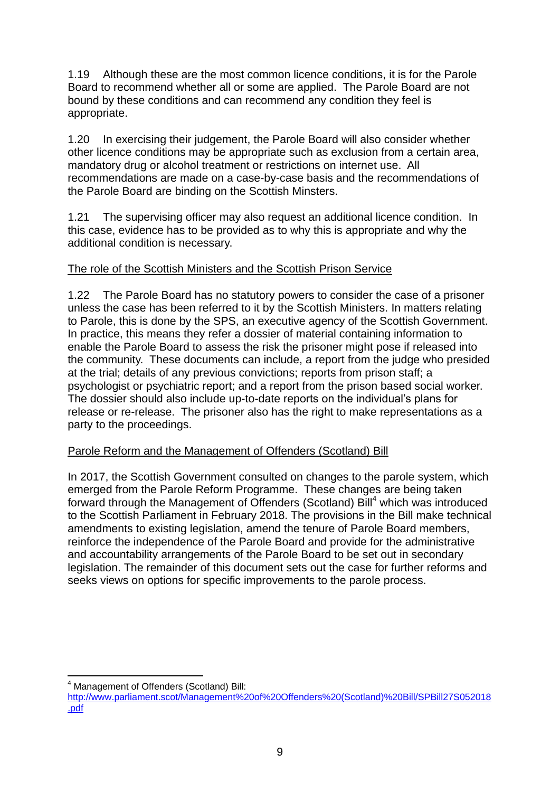1.19 Although these are the most common licence conditions, it is for the Parole Board to recommend whether all or some are applied. The Parole Board are not bound by these conditions and can recommend any condition they feel is appropriate.

1.20 In exercising their judgement, the Parole Board will also consider whether other licence conditions may be appropriate such as exclusion from a certain area, mandatory drug or alcohol treatment or restrictions on internet use. All recommendations are made on a case-by-case basis and the recommendations of the Parole Board are binding on the Scottish Minsters.

1.21 The supervising officer may also request an additional licence condition. In this case, evidence has to be provided as to why this is appropriate and why the additional condition is necessary.

## The role of the Scottish Ministers and the Scottish Prison Service

1.22 The Parole Board has no statutory powers to consider the case of a prisoner unless the case has been referred to it by the Scottish Ministers. In matters relating to Parole, this is done by the SPS, an executive agency of the Scottish Government. In practice, this means they refer a dossier of material containing information to enable the Parole Board to assess the risk the prisoner might pose if released into the community. These documents can include, a report from the judge who presided at the trial; details of any previous convictions; reports from prison staff; a psychologist or psychiatric report; and a report from the prison based social worker. The dossier should also include up-to-date reports on the individual's plans for release or re-release. The prisoner also has the right to make representations as a party to the proceedings.

#### Parole Reform and the Management of Offenders (Scotland) Bill

In 2017, the Scottish Government consulted on changes to the parole system, which emerged from the Parole Reform Programme. These changes are being taken forward through the Management of Offenders (Scotland) Bill<sup>4</sup> which was introduced to the Scottish Parliament in February 2018. The provisions in the Bill make technical amendments to existing legislation, amend the tenure of Parole Board members, reinforce the independence of the Parole Board and provide for the administrative and accountability arrangements of the Parole Board to be set out in secondary legislation. The remainder of this document sets out the case for further reforms and seeks views on options for specific improvements to the parole process.

1 <sup>4</sup> Management of Offenders (Scotland) Bill:

[http://www.parliament.scot/Management%20of%20Offenders%20\(Scotland\)%20Bill/SPBill27S052018](http://www.parliament.scot/Management%20of%20Offenders%20(Scotland)%20Bill/SPBill27S052018.pdf) [.pdf](http://www.parliament.scot/Management%20of%20Offenders%20(Scotland)%20Bill/SPBill27S052018.pdf)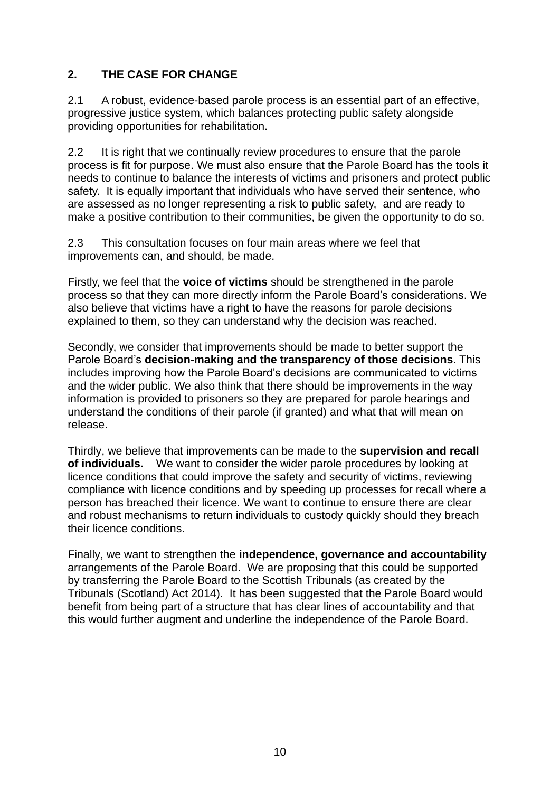## **2. THE CASE FOR CHANGE**

2.1 A robust, evidence-based parole process is an essential part of an effective, progressive justice system, which balances protecting public safety alongside providing opportunities for rehabilitation.

2.2 It is right that we continually review procedures to ensure that the parole process is fit for purpose. We must also ensure that the Parole Board has the tools it needs to continue to balance the interests of victims and prisoners and protect public safety. It is equally important that individuals who have served their sentence, who are assessed as no longer representing a risk to public safety, and are ready to make a positive contribution to their communities, be given the opportunity to do so.

2.3 This consultation focuses on four main areas where we feel that improvements can, and should, be made.

Firstly, we feel that the **voice of victims** should be strengthened in the parole process so that they can more directly inform the Parole Board's considerations. We also believe that victims have a right to have the reasons for parole decisions explained to them, so they can understand why the decision was reached.

Secondly, we consider that improvements should be made to better support the Parole Board's **decision-making and the transparency of those decisions**. This includes improving how the Parole Board's decisions are communicated to victims and the wider public. We also think that there should be improvements in the way information is provided to prisoners so they are prepared for parole hearings and understand the conditions of their parole (if granted) and what that will mean on release.

Thirdly, we believe that improvements can be made to the **supervision and recall of individuals.** We want to consider the wider parole procedures by looking at licence conditions that could improve the safety and security of victims, reviewing compliance with licence conditions and by speeding up processes for recall where a person has breached their licence. We want to continue to ensure there are clear and robust mechanisms to return individuals to custody quickly should they breach their licence conditions.

Finally, we want to strengthen the **independence, governance and accountability** arrangements of the Parole Board. We are proposing that this could be supported by transferring the Parole Board to the Scottish Tribunals (as created by the Tribunals (Scotland) Act 2014). It has been suggested that the Parole Board would benefit from being part of a structure that has clear lines of accountability and that this would further augment and underline the independence of the Parole Board.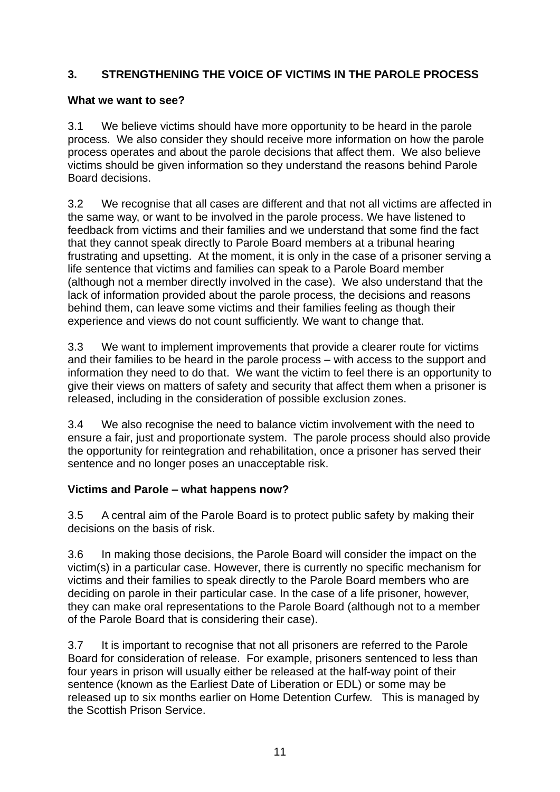## **3. STRENGTHENING THE VOICE OF VICTIMS IN THE PAROLE PROCESS**

## **What we want to see?**

3.1 We believe victims should have more opportunity to be heard in the parole process. We also consider they should receive more information on how the parole process operates and about the parole decisions that affect them. We also believe victims should be given information so they understand the reasons behind Parole Board decisions.

3.2 We recognise that all cases are different and that not all victims are affected in the same way, or want to be involved in the parole process. We have listened to feedback from victims and their families and we understand that some find the fact that they cannot speak directly to Parole Board members at a tribunal hearing frustrating and upsetting. At the moment, it is only in the case of a prisoner serving a life sentence that victims and families can speak to a Parole Board member (although not a member directly involved in the case). We also understand that the lack of information provided about the parole process, the decisions and reasons behind them, can leave some victims and their families feeling as though their experience and views do not count sufficiently. We want to change that.

3.3 We want to implement improvements that provide a clearer route for victims and their families to be heard in the parole process – with access to the support and information they need to do that. We want the victim to feel there is an opportunity to give their views on matters of safety and security that affect them when a prisoner is released, including in the consideration of possible exclusion zones.

3.4 We also recognise the need to balance victim involvement with the need to ensure a fair, just and proportionate system. The parole process should also provide the opportunity for reintegration and rehabilitation, once a prisoner has served their sentence and no longer poses an unacceptable risk.

## **Victims and Parole – what happens now?**

3.5 A central aim of the Parole Board is to protect public safety by making their decisions on the basis of risk.

3.6 In making those decisions, the Parole Board will consider the impact on the victim(s) in a particular case. However, there is currently no specific mechanism for victims and their families to speak directly to the Parole Board members who are deciding on parole in their particular case. In the case of a life prisoner, however, they can make oral representations to the Parole Board (although not to a member of the Parole Board that is considering their case).

3.7 It is important to recognise that not all prisoners are referred to the Parole Board for consideration of release. For example, prisoners sentenced to less than four years in prison will usually either be released at the half-way point of their sentence (known as the Earliest Date of Liberation or EDL) or some may be released up to six months earlier on Home Detention Curfew. This is managed by the Scottish Prison Service.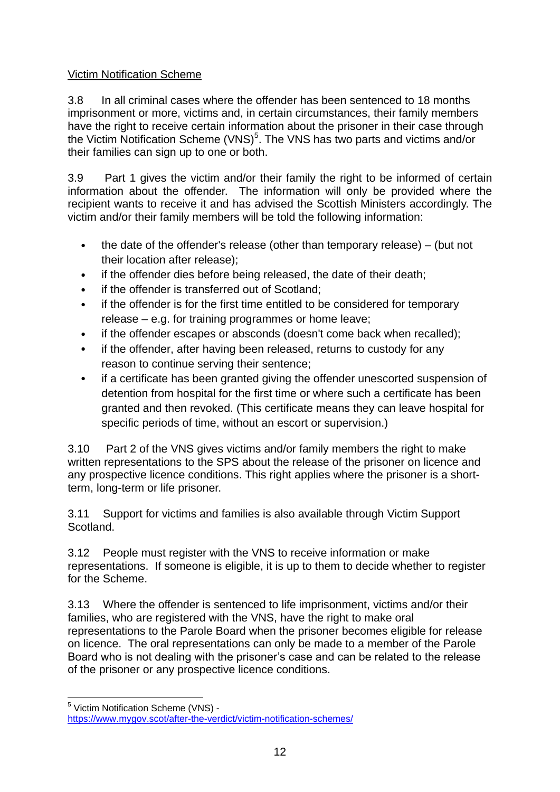## Victim Notification Scheme

3.8 In all criminal cases where the offender has been sentenced to 18 months imprisonment or more, victims and, in certain circumstances, their family members have the right to receive certain information about the prisoner in their case through the Victim Notification Scheme (VNS)<sup>5</sup>. The VNS has two parts and victims and/or their families can sign up to one or both.

3.9 Part 1 gives the victim and/or their family the right to be informed of certain information about the offender. The information will only be provided where the recipient wants to receive it and has advised the Scottish Ministers accordingly. The victim and/or their family members will be told the following information:

- the date of the offender's release (other than temporary release) (but not their location after release);
- if the offender dies before being released, the date of their death;
- if the offender is transferred out of Scotland;
- if the offender is for the first time entitled to be considered for temporary release – e.g. for training programmes or home leave;
- if the offender escapes or absconds (doesn't come back when recalled);
- if the offender, after having been released, returns to custody for any reason to continue serving their sentence;
- if a certificate has been granted giving the offender unescorted suspension of detention from hospital for the first time or where such a certificate has been granted and then revoked. (This certificate means they can leave hospital for specific periods of time, without an escort or supervision.)

3.10 Part 2 of the VNS gives victims and/or family members the right to make written representations to the SPS about the release of the prisoner on licence and any prospective licence conditions. This right applies where the prisoner is a shortterm, long-term or life prisoner.

3.11 Support for victims and families is also available through Victim Support Scotland.

3.12 People must register with the VNS to receive information or make representations. If someone is eligible, it is up to them to decide whether to register for the Scheme.

3.13 Where the offender is sentenced to life imprisonment, victims and/or their families, who are registered with the VNS, have the right to make oral representations to the Parole Board when the prisoner becomes eligible for release on licence. The oral representations can only be made to a member of the Parole Board who is not dealing with the prisoner's case and can be related to the release of the prisoner or any prospective licence conditions.

1

<sup>5</sup> Victim Notification Scheme (VNS) <https://www.mygov.scot/after-the-verdict/victim-notification-schemes/>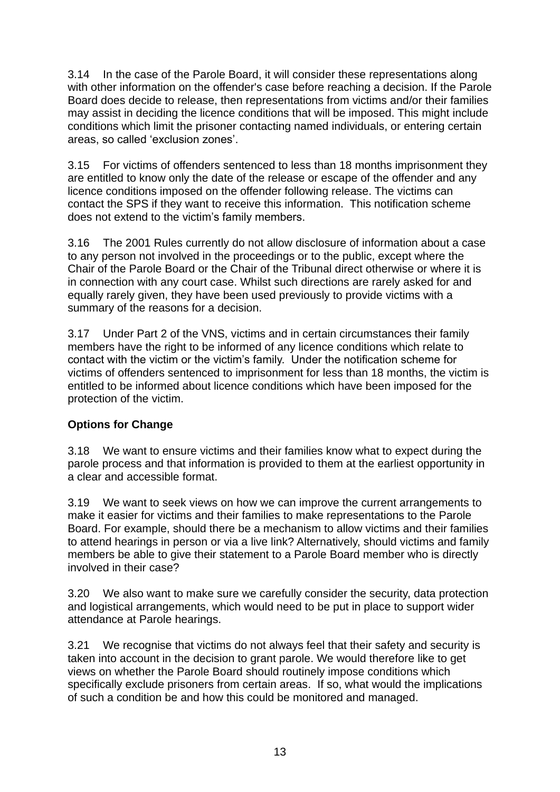3.14 In the case of the Parole Board, it will consider these representations along with other information on the offender's case before reaching a decision. If the Parole Board does decide to release, then representations from victims and/or their families may assist in deciding the licence conditions that will be imposed. This might include conditions which limit the prisoner contacting named individuals, or entering certain areas, so called 'exclusion zones'.

3.15 For victims of offenders sentenced to less than 18 months imprisonment they are entitled to know only the date of the release or escape of the offender and any licence conditions imposed on the offender following release. The victims can contact the SPS if they want to receive this information. This notification scheme does not extend to the victim's family members.

3.16 The 2001 Rules currently do not allow disclosure of information about a case to any person not involved in the proceedings or to the public, except where the Chair of the Parole Board or the Chair of the Tribunal direct otherwise or where it is in connection with any court case. Whilst such directions are rarely asked for and equally rarely given, they have been used previously to provide victims with a summary of the reasons for a decision.

3.17 Under Part 2 of the VNS, victims and in certain circumstances their family members have the right to be informed of any licence conditions which relate to contact with the victim or the victim's family. Under the notification scheme for victims of offenders sentenced to imprisonment for less than 18 months, the victim is entitled to be informed about licence conditions which have been imposed for the protection of the victim.

## **Options for Change**

3.18 We want to ensure victims and their families know what to expect during the parole process and that information is provided to them at the earliest opportunity in a clear and accessible format.

3.19 We want to seek views on how we can improve the current arrangements to make it easier for victims and their families to make representations to the Parole Board. For example, should there be a mechanism to allow victims and their families to attend hearings in person or via a live link? Alternatively, should victims and family members be able to give their statement to a Parole Board member who is directly involved in their case?

3.20 We also want to make sure we carefully consider the security, data protection and logistical arrangements, which would need to be put in place to support wider attendance at Parole hearings.

3.21 We recognise that victims do not always feel that their safety and security is taken into account in the decision to grant parole. We would therefore like to get views on whether the Parole Board should routinely impose conditions which specifically exclude prisoners from certain areas. If so, what would the implications of such a condition be and how this could be monitored and managed.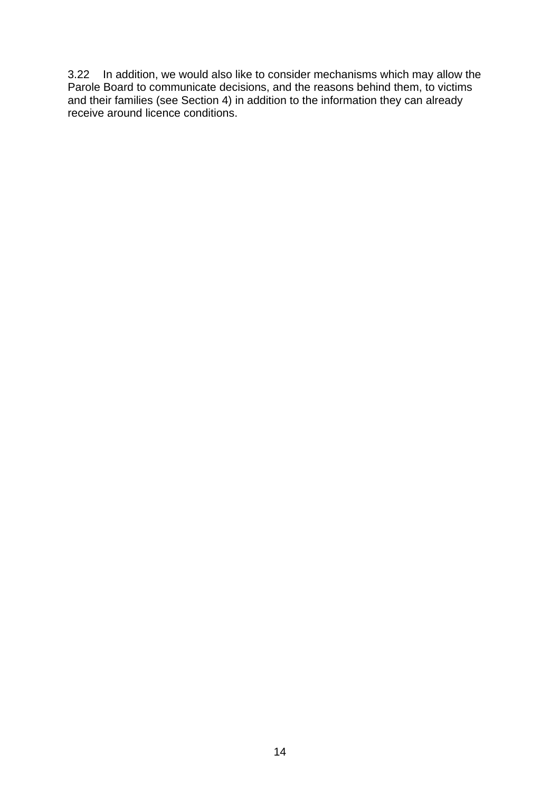3.22 In addition, we would also like to consider mechanisms which may allow the Parole Board to communicate decisions, and the reasons behind them, to victims and their families (see Section 4) in addition to the information they can already receive around licence conditions.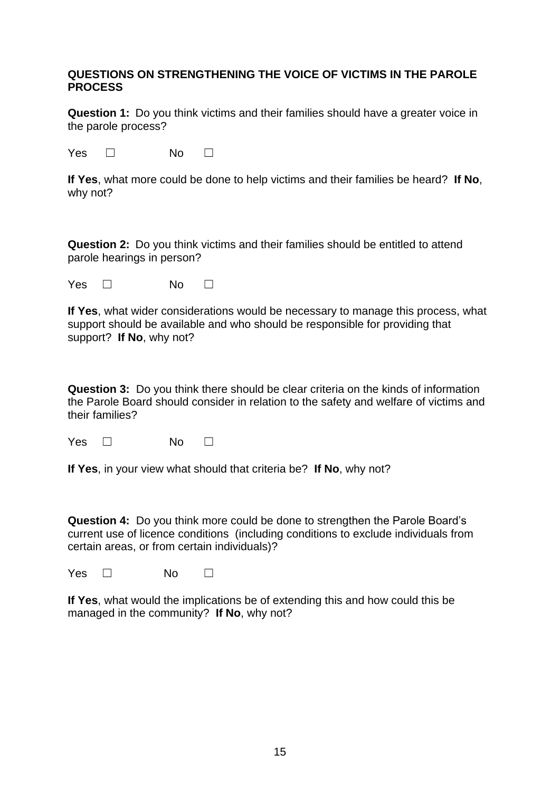#### **QUESTIONS ON STRENGTHENING THE VOICE OF VICTIMS IN THE PAROLE PROCESS**

**Question 1:** Do you think victims and their families should have a greater voice in the parole process?

Yes □ No □

**If Yes**, what more could be done to help victims and their families be heard? **If No**, why not?

**Question 2:** Do you think victims and their families should be entitled to attend parole hearings in person?

Yes □ No □

**If Yes**, what wider considerations would be necessary to manage this process, what support should be available and who should be responsible for providing that support? **If No**, why not?

**Question 3:** Do you think there should be clear criteria on the kinds of information the Parole Board should consider in relation to the safety and welfare of victims and their families?

Yes □ No □

**If Yes**, in your view what should that criteria be? **If No**, why not?

**Question 4:** Do you think more could be done to strengthen the Parole Board's current use of licence conditions (including conditions to exclude individuals from certain areas, or from certain individuals)?

 $Yes \Box$  No  $\Box$ 

**If Yes**, what would the implications be of extending this and how could this be managed in the community? **If No**, why not?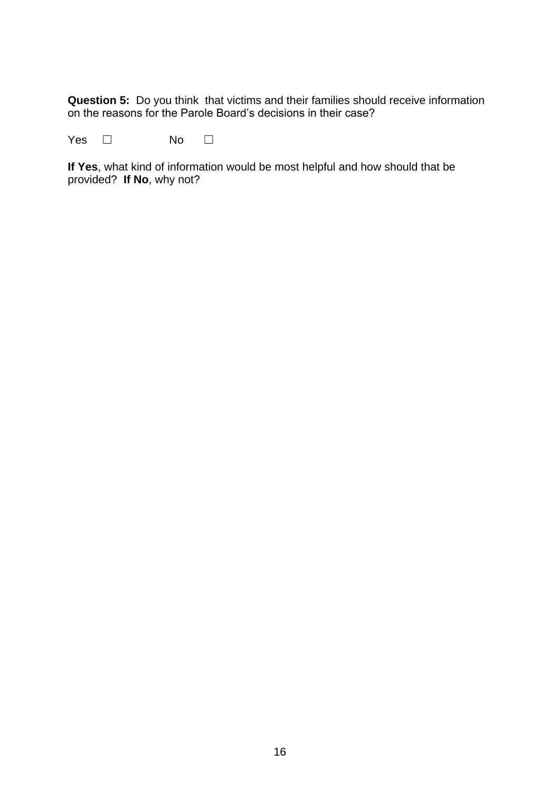**Question 5:** Do you think that victims and their families should receive information on the reasons for the Parole Board's decisions in their case?

Yes □ No □

**If Yes**, what kind of information would be most helpful and how should that be provided? **If No**, why not?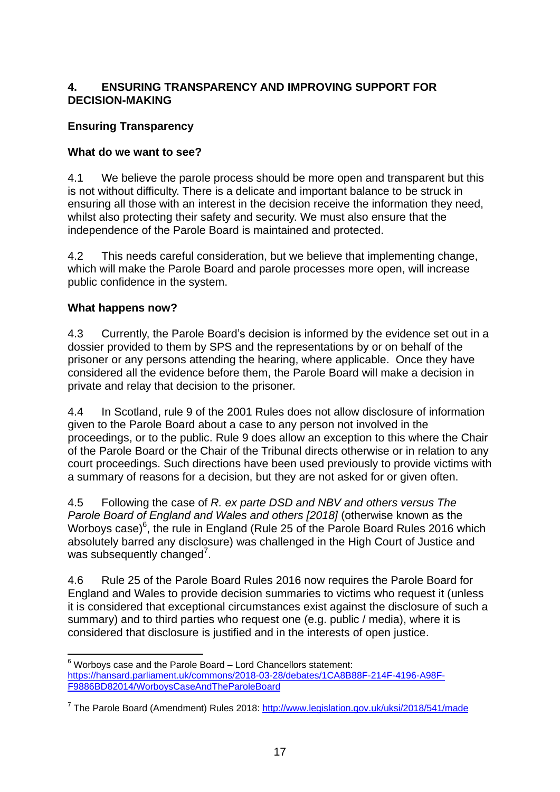## **4. ENSURING TRANSPARENCY AND IMPROVING SUPPORT FOR DECISION-MAKING**

## **Ensuring Transparency**

## **What do we want to see?**

4.1 We believe the parole process should be more open and transparent but this is not without difficulty. There is a delicate and important balance to be struck in ensuring all those with an interest in the decision receive the information they need, whilst also protecting their safety and security. We must also ensure that the independence of the Parole Board is maintained and protected.

4.2 This needs careful consideration, but we believe that implementing change, which will make the Parole Board and parole processes more open, will increase public confidence in the system.

#### **What happens now?**

4.3 Currently, the Parole Board's decision is informed by the evidence set out in a dossier provided to them by SPS and the representations by or on behalf of the prisoner or any persons attending the hearing, where applicable. Once they have considered all the evidence before them, the Parole Board will make a decision in private and relay that decision to the prisoner.

4.4 In Scotland, rule 9 of the 2001 Rules does not allow disclosure of information given to the Parole Board about a case to any person not involved in the proceedings, or to the public. Rule 9 does allow an exception to this where the Chair of the Parole Board or the Chair of the Tribunal directs otherwise or in relation to any court proceedings. Such directions have been used previously to provide victims with a summary of reasons for a decision, but they are not asked for or given often.

4.5 Following the case of *R. ex parte DSD and NBV and others versus The Parole Board of England and Wales and others [2018]* (otherwise known as the Worboys case) $^6$ , the rule in England (Rule 25 of the Parole Board Rules 2016 which absolutely barred any disclosure) was challenged in the High Court of Justice and was subsequently changed<sup>7</sup>.

4.6 Rule 25 of the Parole Board Rules 2016 now requires the Parole Board for England and Wales to provide decision summaries to victims who request it (unless it is considered that exceptional circumstances exist against the disclosure of such a summary) and to third parties who request one (e.g. public / media), where it is considered that disclosure is justified and in the interests of open justice.

<sup>1</sup>  $6$  Worbovs case and the Parole Board – Lord Chancellors statement: [https://hansard.parliament.uk/commons/2018-03-28/debates/1CA8B88F-214F-4196-A98F-](https://hansard.parliament.uk/commons/2018-03-28/debates/1CA8B88F-214F-4196-A98F-F9886BD82014/WorboysCaseAndTheParoleBoard)[F9886BD82014/WorboysCaseAndTheParoleBoard](https://hansard.parliament.uk/commons/2018-03-28/debates/1CA8B88F-214F-4196-A98F-F9886BD82014/WorboysCaseAndTheParoleBoard)

<sup>&</sup>lt;sup>7</sup> The Parole Board (Amendment) Rules 2018:<http://www.legislation.gov.uk/uksi/2018/541/made>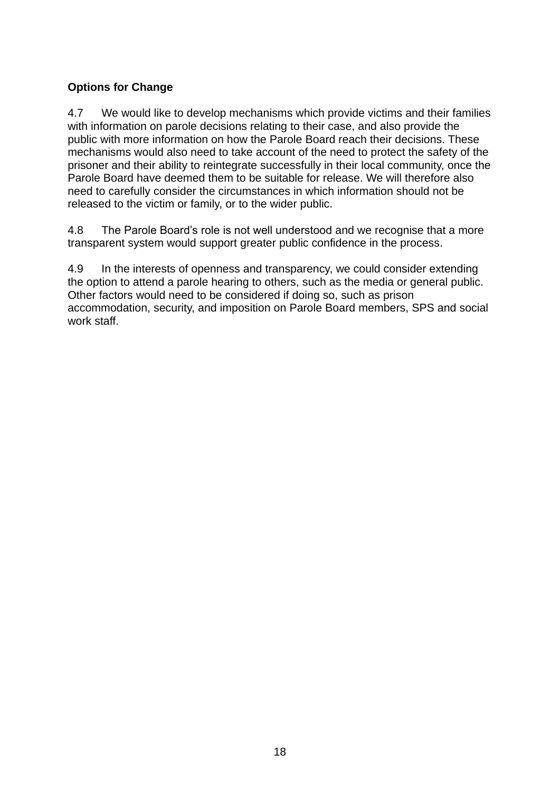## **Options for Change**

4.7 We would like to develop mechanisms which provide victims and their families with information on parole decisions relating to their case, and also provide the public with more information on how the Parole Board reach their decisions. These mechanisms would also need to take account of the need to protect the safety of the prisoner and their ability to reintegrate successfully in their local community, once the Parole Board have deemed them to be suitable for release. We will therefore also need to carefully consider the circumstances in which information should not be released to the victim or family, or to the wider public.

4.8 The Parole Board's role is not well understood and we recognise that a more transparent system would support greater public confidence in the process.

4.9 In the interests of openness and transparency, we could consider extending the option to attend a parole hearing to others, such as the media or general public. Other factors would need to be considered if doing so, such as prison accommodation, security, and imposition on Parole Board members, SPS and social work staff.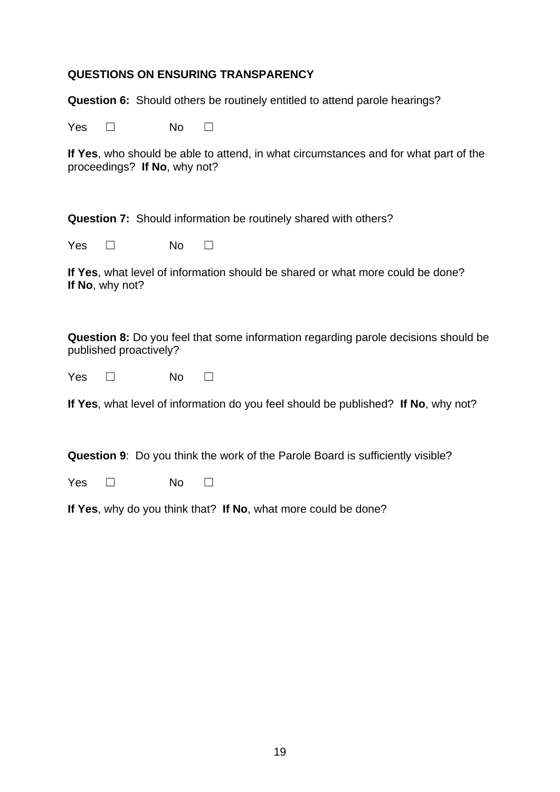#### **QUESTIONS ON ENSURING TRANSPARENCY**

**Question 6:** Should others be routinely entitled to attend parole hearings?

Yes □ No □

**If Yes**, who should be able to attend, in what circumstances and for what part of the proceedings? **If No**, why not?

**Question 7:** Should information be routinely shared with others?

Yes □ No □

**If Yes**, what level of information should be shared or what more could be done? **If No**, why not?

**Question 8:** Do you feel that some information regarding parole decisions should be published proactively?

| Yes | No |  |
|-----|----|--|
|-----|----|--|

**If Yes**, what level of information do you feel should be published? **If No**, why not?

**Question 9**: Do you think the work of the Parole Board is sufficiently visible?

Yes □ No □

**If Yes**, why do you think that? **If No**, what more could be done?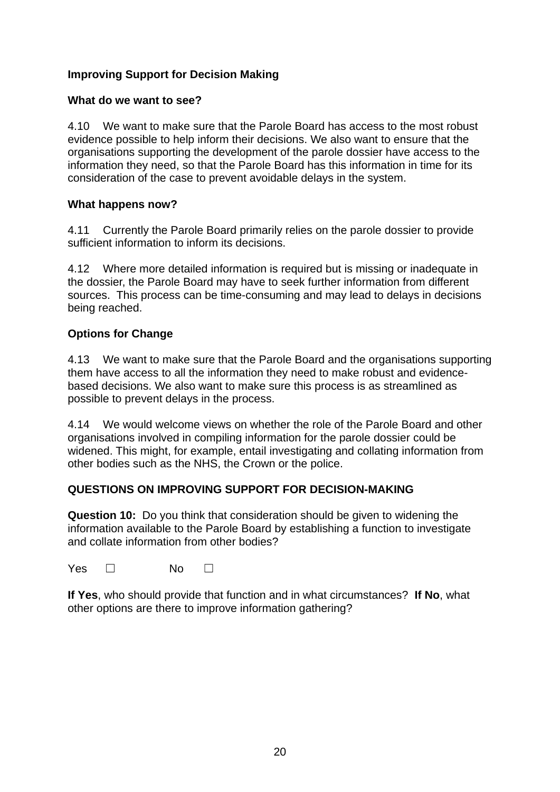## **Improving Support for Decision Making**

#### **What do we want to see?**

4.10 We want to make sure that the Parole Board has access to the most robust evidence possible to help inform their decisions. We also want to ensure that the organisations supporting the development of the parole dossier have access to the information they need, so that the Parole Board has this information in time for its consideration of the case to prevent avoidable delays in the system.

#### **What happens now?**

4.11 Currently the Parole Board primarily relies on the parole dossier to provide sufficient information to inform its decisions.

4.12 Where more detailed information is required but is missing or inadequate in the dossier, the Parole Board may have to seek further information from different sources. This process can be time-consuming and may lead to delays in decisions being reached.

## **Options for Change**

4.13 We want to make sure that the Parole Board and the organisations supporting them have access to all the information they need to make robust and evidencebased decisions. We also want to make sure this process is as streamlined as possible to prevent delays in the process.

4.14 We would welcome views on whether the role of the Parole Board and other organisations involved in compiling information for the parole dossier could be widened. This might, for example, entail investigating and collating information from other bodies such as the NHS, the Crown or the police.

## **QUESTIONS ON IMPROVING SUPPORT FOR DECISION-MAKING**

**Question 10:** Do you think that consideration should be given to widening the information available to the Parole Board by establishing a function to investigate and collate information from other bodies?

Yes □ No □

**If Yes**, who should provide that function and in what circumstances? **If No**, what other options are there to improve information gathering?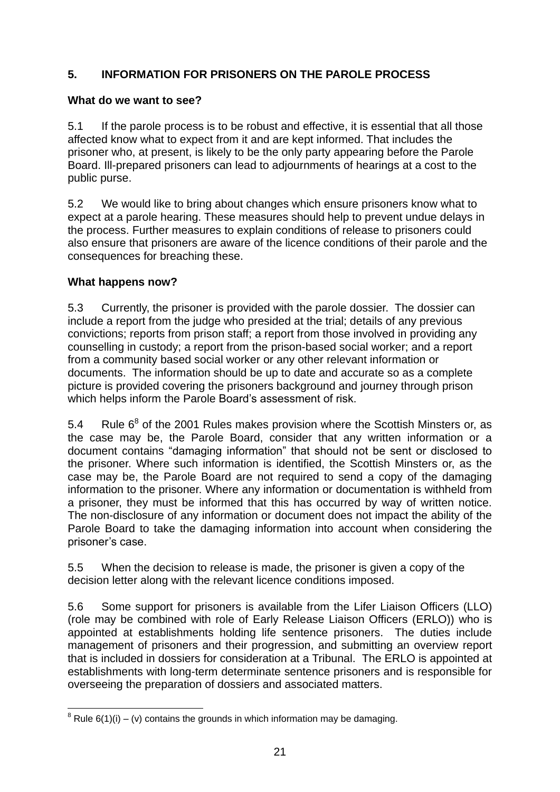## **5. INFORMATION FOR PRISONERS ON THE PAROLE PROCESS**

## **What do we want to see?**

5.1 If the parole process is to be robust and effective, it is essential that all those affected know what to expect from it and are kept informed. That includes the prisoner who, at present, is likely to be the only party appearing before the Parole Board. Ill-prepared prisoners can lead to adjournments of hearings at a cost to the public purse.

5.2 We would like to bring about changes which ensure prisoners know what to expect at a parole hearing. These measures should help to prevent undue delays in the process. Further measures to explain conditions of release to prisoners could also ensure that prisoners are aware of the licence conditions of their parole and the consequences for breaching these.

## **What happens now?**

5.3 Currently, the prisoner is provided with the parole dossier. The dossier can include a report from the judge who presided at the trial; details of any previous convictions; reports from prison staff; a report from those involved in providing any counselling in custody; a report from the prison-based social worker; and a report from a community based social worker or any other relevant information or documents. The information should be up to date and accurate so as a complete picture is provided covering the prisoners background and journey through prison which helps inform the Parole Board's assessment of risk.

5.4 Rule  $6^8$  of the 2001 Rules makes provision where the Scottish Minsters or, as the case may be, the Parole Board, consider that any written information or a document contains "damaging information" that should not be sent or disclosed to the prisoner. Where such information is identified, the Scottish Minsters or, as the case may be, the Parole Board are not required to send a copy of the damaging information to the prisoner. Where any information or documentation is withheld from a prisoner, they must be informed that this has occurred by way of written notice. The non-disclosure of any information or document does not impact the ability of the Parole Board to take the damaging information into account when considering the prisoner's case.

5.5 When the decision to release is made, the prisoner is given a copy of the decision letter along with the relevant licence conditions imposed.

5.6 Some support for prisoners is available from the Lifer Liaison Officers (LLO) (role may be combined with role of Early Release Liaison Officers (ERLO)) who is appointed at establishments holding life sentence prisoners. The duties include management of prisoners and their progression, and submitting an overview report that is included in dossiers for consideration at a Tribunal. The ERLO is appointed at establishments with long-term determinate sentence prisoners and is responsible for overseeing the preparation of dossiers and associated matters.

<sup>1</sup>  $8$  Rule 6(1)(i) – (v) contains the grounds in which information may be damaging.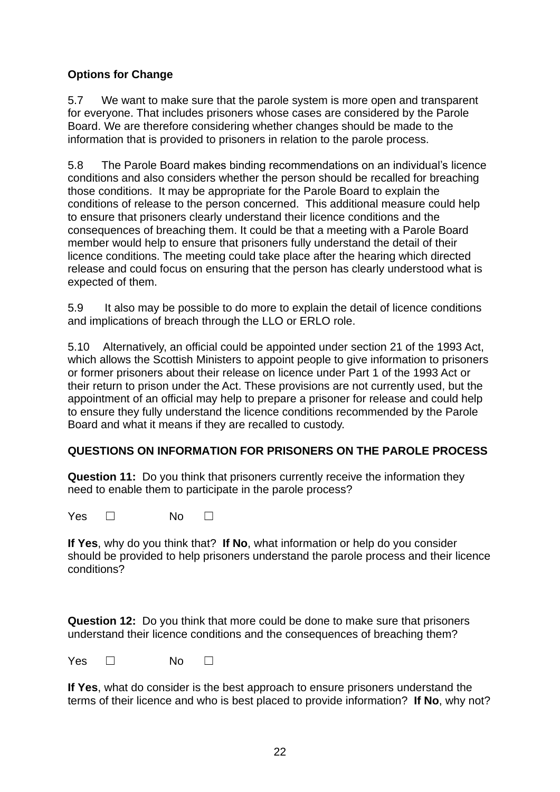## **Options for Change**

5.7 We want to make sure that the parole system is more open and transparent for everyone. That includes prisoners whose cases are considered by the Parole Board. We are therefore considering whether changes should be made to the information that is provided to prisoners in relation to the parole process.

5.8 The Parole Board makes binding recommendations on an individual's licence conditions and also considers whether the person should be recalled for breaching those conditions. It may be appropriate for the Parole Board to explain the conditions of release to the person concerned.This additional measure could help to ensure that prisoners clearly understand their licence conditions and the consequences of breaching them. It could be that a meeting with a Parole Board member would help to ensure that prisoners fully understand the detail of their licence conditions. The meeting could take place after the hearing which directed release and could focus on ensuring that the person has clearly understood what is expected of them.

5.9 It also may be possible to do more to explain the detail of licence conditions and implications of breach through the LLO or ERLO role.

5.10 Alternatively, an official could be appointed under section 21 of the 1993 Act, which allows the Scottish Ministers to appoint people to give information to prisoners or former prisoners about their release on licence under Part 1 of the 1993 Act or their return to prison under the Act. These provisions are not currently used, but the appointment of an official may help to prepare a prisoner for release and could help to ensure they fully understand the licence conditions recommended by the Parole Board and what it means if they are recalled to custody.

## **QUESTIONS ON INFORMATION FOR PRISONERS ON THE PAROLE PROCESS**

**Question 11:** Do you think that prisoners currently receive the information they need to enable them to participate in the parole process?

Yes □ No □

**If Yes**, why do you think that? **If No**, what information or help do you consider should be provided to help prisoners understand the parole process and their licence conditions?

**Question 12:** Do you think that more could be done to make sure that prisoners understand their licence conditions and the consequences of breaching them?

Yes □ No □

**If Yes**, what do consider is the best approach to ensure prisoners understand the terms of their licence and who is best placed to provide information? **If No**, why not?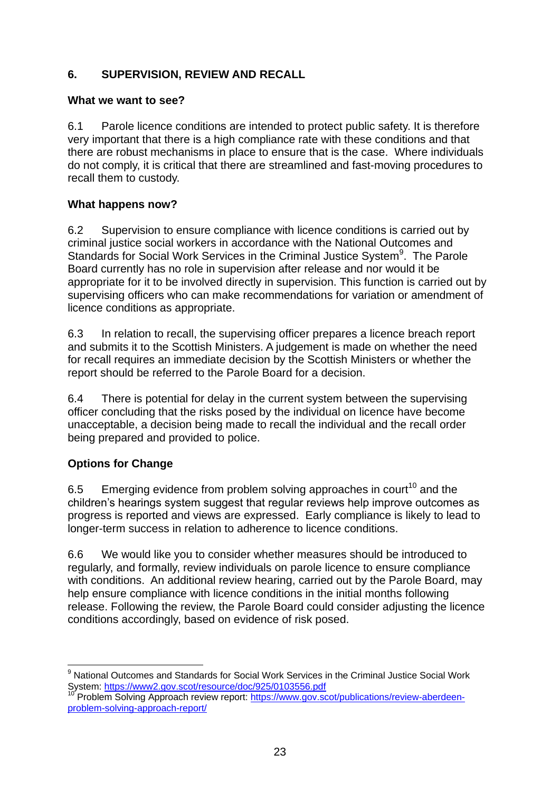## **6. SUPERVISION, REVIEW AND RECALL**

#### **What we want to see?**

6.1 Parole licence conditions are intended to protect public safety. It is therefore very important that there is a high compliance rate with these conditions and that there are robust mechanisms in place to ensure that is the case. Where individuals do not comply, it is critical that there are streamlined and fast-moving procedures to recall them to custody.

## **What happens now?**

6.2 Supervision to ensure compliance with licence conditions is carried out by criminal justice social workers in accordance with the National Outcomes and Standards for Social Work Services in the Criminal Justice System<sup>9</sup>. The Parole Board currently has no role in supervision after release and nor would it be appropriate for it to be involved directly in supervision. This function is carried out by supervising officers who can make recommendations for variation or amendment of licence conditions as appropriate.

6.3 In relation to recall, the supervising officer prepares a licence breach report and submits it to the Scottish Ministers. A judgement is made on whether the need for recall requires an immediate decision by the Scottish Ministers or whether the report should be referred to the Parole Board for a decision.

6.4 There is potential for delay in the current system between the supervising officer concluding that the risks posed by the individual on licence have become unacceptable, a decision being made to recall the individual and the recall order being prepared and provided to police.

## **Options for Change**

6.5 Emerging evidence from problem solving approaches in court<sup>10</sup> and the children's hearings system suggest that regular reviews help improve outcomes as progress is reported and views are expressed. Early compliance is likely to lead to longer-term success in relation to adherence to licence conditions.

6.6 We would like you to consider whether measures should be introduced to regularly, and formally, review individuals on parole licence to ensure compliance with conditions. An additional review hearing, carried out by the Parole Board, may help ensure compliance with licence conditions in the initial months following release. Following the review, the Parole Board could consider adjusting the licence conditions accordingly, based on evidence of risk posed.

<sup>1</sup> <sup>9</sup> National Outcomes and Standards for Social Work Services in the Criminal Justice Social Work System:<https://www2.gov.scot/resource/doc/925/0103556.pdf>

Problem Solving Approach review report: [https://www.gov.scot/publications/review-aberdeen](https://www.gov.scot/publications/review-aberdeen-problem-solving-approach-report/)[problem-solving-approach-report/](https://www.gov.scot/publications/review-aberdeen-problem-solving-approach-report/)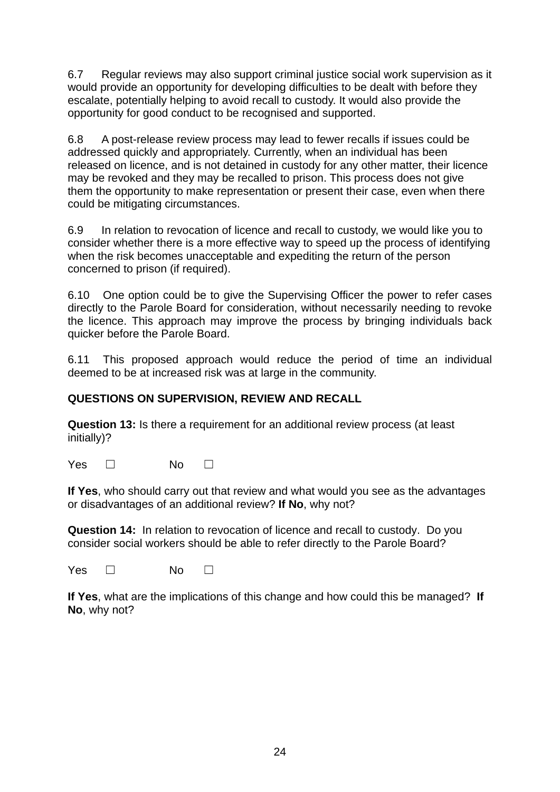6.7 Regular reviews may also support criminal justice social work supervision as it would provide an opportunity for developing difficulties to be dealt with before they escalate, potentially helping to avoid recall to custody. It would also provide the opportunity for good conduct to be recognised and supported.

6.8 A post-release review process may lead to fewer recalls if issues could be addressed quickly and appropriately. Currently, when an individual has been released on licence, and is not detained in custody for any other matter, their licence may be revoked and they may be recalled to prison. This process does not give them the opportunity to make representation or present their case, even when there could be mitigating circumstances.

6.9 In relation to revocation of licence and recall to custody, we would like you to consider whether there is a more effective way to speed up the process of identifying when the risk becomes unacceptable and expediting the return of the person concerned to prison (if required).

6.10 One option could be to give the Supervising Officer the power to refer cases directly to the Parole Board for consideration, without necessarily needing to revoke the licence. This approach may improve the process by bringing individuals back quicker before the Parole Board.

6.11 This proposed approach would reduce the period of time an individual deemed to be at increased risk was at large in the community.

## **QUESTIONS ON SUPERVISION, REVIEW AND RECALL**

**Question 13:** Is there a requirement for an additional review process (at least initially)?

Yes □ No □

**If Yes**, who should carry out that review and what would you see as the advantages or disadvantages of an additional review? **If No**, why not?

**Question 14:** In relation to revocation of licence and recall to custody. Do you consider social workers should be able to refer directly to the Parole Board?

Yes □ No □

**If Yes**, what are the implications of this change and how could this be managed? **If No**, why not?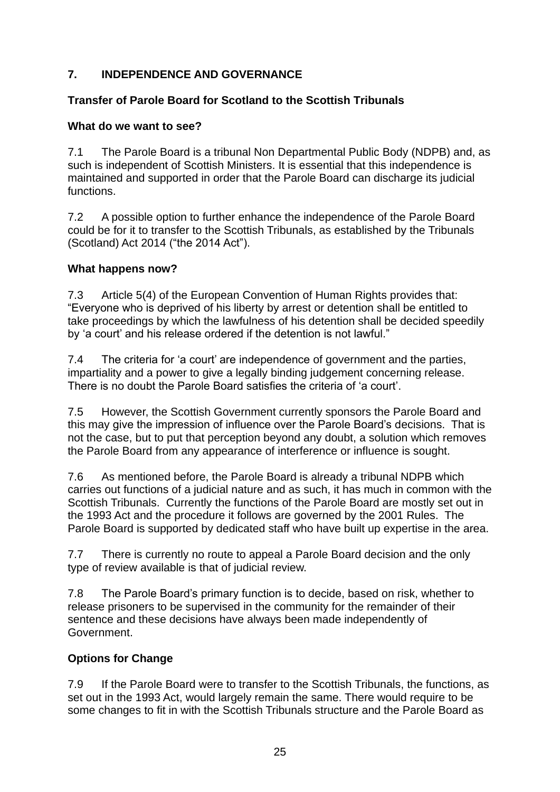## **7. INDEPENDENCE AND GOVERNANCE**

## **Transfer of Parole Board for Scotland to the Scottish Tribunals**

## **What do we want to see?**

7.1 The Parole Board is a tribunal Non Departmental Public Body (NDPB) and, as such is independent of Scottish Ministers. It is essential that this independence is maintained and supported in order that the Parole Board can discharge its judicial functions.

7.2 A possible option to further enhance the independence of the Parole Board could be for it to transfer to the Scottish Tribunals, as established by the Tribunals (Scotland) Act 2014 ("the 2014 Act").

#### **What happens now?**

7.3 Article 5(4) of the European Convention of Human Rights provides that: "Everyone who is deprived of his liberty by arrest or detention shall be entitled to take proceedings by which the lawfulness of his detention shall be decided speedily by 'a court' and his release ordered if the detention is not lawful."

7.4 The criteria for 'a court' are independence of government and the parties, impartiality and a power to give a legally binding judgement concerning release. There is no doubt the Parole Board satisfies the criteria of 'a court'.

7.5 However, the Scottish Government currently sponsors the Parole Board and this may give the impression of influence over the Parole Board's decisions. That is not the case, but to put that perception beyond any doubt, a solution which removes the Parole Board from any appearance of interference or influence is sought.

7.6 As mentioned before, the Parole Board is already a tribunal NDPB which carries out functions of a judicial nature and as such, it has much in common with the Scottish Tribunals. Currently the functions of the Parole Board are mostly set out in the 1993 Act and the procedure it follows are governed by the 2001 Rules. The Parole Board is supported by dedicated staff who have built up expertise in the area.

7.7 There is currently no route to appeal a Parole Board decision and the only type of review available is that of judicial review.

7.8 The Parole Board's primary function is to decide, based on risk, whether to release prisoners to be supervised in the community for the remainder of their sentence and these decisions have always been made independently of Government.

## **Options for Change**

7.9 If the Parole Board were to transfer to the Scottish Tribunals, the functions, as set out in the 1993 Act, would largely remain the same. There would require to be some changes to fit in with the Scottish Tribunals structure and the Parole Board as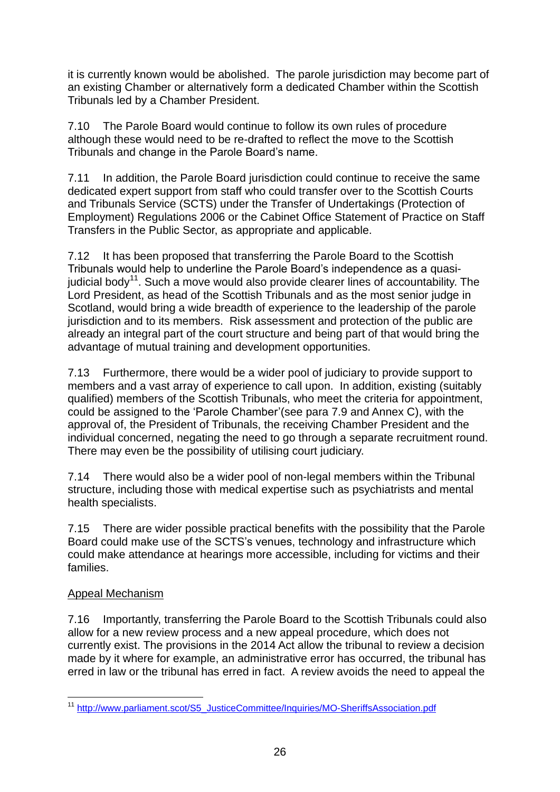it is currently known would be abolished. The parole jurisdiction may become part of an existing Chamber or alternatively form a dedicated Chamber within the Scottish Tribunals led by a Chamber President.

7.10 The Parole Board would continue to follow its own rules of procedure although these would need to be re-drafted to reflect the move to the Scottish Tribunals and change in the Parole Board's name.

7.11 In addition, the Parole Board jurisdiction could continue to receive the same dedicated expert support from staff who could transfer over to the Scottish Courts and Tribunals Service (SCTS) under the Transfer of Undertakings (Protection of Employment) Regulations 2006 or the Cabinet Office Statement of Practice on Staff Transfers in the Public Sector, as appropriate and applicable.

7.12 It has been proposed that transferring the Parole Board to the Scottish Tribunals would help to underline the Parole Board's independence as a quasijudicial body<sup>11</sup>. Such a move would also provide clearer lines of accountability. The Lord President, as head of the Scottish Tribunals and as the most senior judge in Scotland, would bring a wide breadth of experience to the leadership of the parole jurisdiction and to its members. Risk assessment and protection of the public are already an integral part of the court structure and being part of that would bring the advantage of mutual training and development opportunities.

7.13 Furthermore, there would be a wider pool of judiciary to provide support to members and a vast array of experience to call upon. In addition, existing (suitably qualified) members of the Scottish Tribunals, who meet the criteria for appointment, could be assigned to the 'Parole Chamber'(see para 7.9 and Annex C), with the approval of, the President of Tribunals, the receiving Chamber President and the individual concerned, negating the need to go through a separate recruitment round. There may even be the possibility of utilising court judiciary.

7.14 There would also be a wider pool of non-legal members within the Tribunal structure, including those with medical expertise such as psychiatrists and mental health specialists.

7.15 There are wider possible practical benefits with the possibility that the Parole Board could make use of the SCTS's venues, technology and infrastructure which could make attendance at hearings more accessible, including for victims and their families.

## Appeal Mechanism

7.16 Importantly, transferring the Parole Board to the Scottish Tribunals could also allow for a new review process and a new appeal procedure, which does not currently exist. The provisions in the 2014 Act allow the tribunal to review a decision made by it where for example, an administrative error has occurred, the tribunal has erred in law or the tribunal has erred in fact. A review avoids the need to appeal the

<sup>1</sup> <sup>11</sup> [http://www.parliament.scot/S5\\_JusticeCommittee/Inquiries/MO-SheriffsAssociation.pdf](http://www.parliament.scot/S5_JusticeCommittee/Inquiries/MO-SheriffsAssociation.pdf)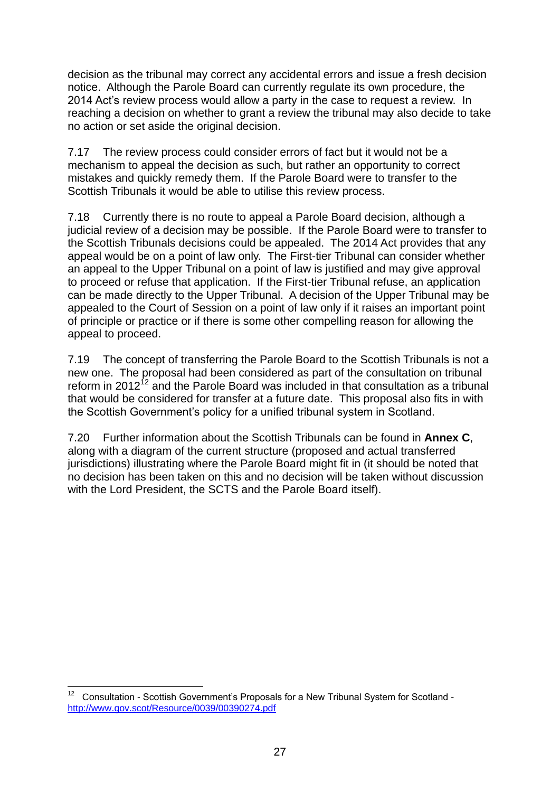decision as the tribunal may correct any accidental errors and issue a fresh decision notice. Although the Parole Board can currently regulate its own procedure, the 2014 Act's review process would allow a party in the case to request a review. In reaching a decision on whether to grant a review the tribunal may also decide to take no action or set aside the original decision.

7.17 The review process could consider errors of fact but it would not be a mechanism to appeal the decision as such, but rather an opportunity to correct mistakes and quickly remedy them. If the Parole Board were to transfer to the Scottish Tribunals it would be able to utilise this review process.

7.18 Currently there is no route to appeal a Parole Board decision, although a judicial review of a decision may be possible. If the Parole Board were to transfer to the Scottish Tribunals decisions could be appealed. The 2014 Act provides that any appeal would be on a point of law only. The First-tier Tribunal can consider whether an appeal to the Upper Tribunal on a point of law is justified and may give approval to proceed or refuse that application. If the First-tier Tribunal refuse, an application can be made directly to the Upper Tribunal. A decision of the Upper Tribunal may be appealed to the Court of Session on a point of law only if it raises an important point of principle or practice or if there is some other compelling reason for allowing the appeal to proceed.

7.19 The concept of transferring the Parole Board to the Scottish Tribunals is not a new one. The proposal had been considered as part of the consultation on tribunal reform in 2012<sup>12</sup> and the Parole Board was included in that consultation as a tribunal that would be considered for transfer at a future date. This proposal also fits in with the Scottish Government's policy for a unified tribunal system in Scotland.

7.20 Further information about the Scottish Tribunals can be found in **Annex C**, along with a diagram of the current structure (proposed and actual transferred jurisdictions) illustrating where the Parole Board might fit in (it should be noted that no decision has been taken on this and no decision will be taken without discussion with the Lord President, the SCTS and the Parole Board itself).

 12 Consultation - Scottish Government's Proposals for a New Tribunal System for Scotland <http://www.gov.scot/Resource/0039/00390274.pdf>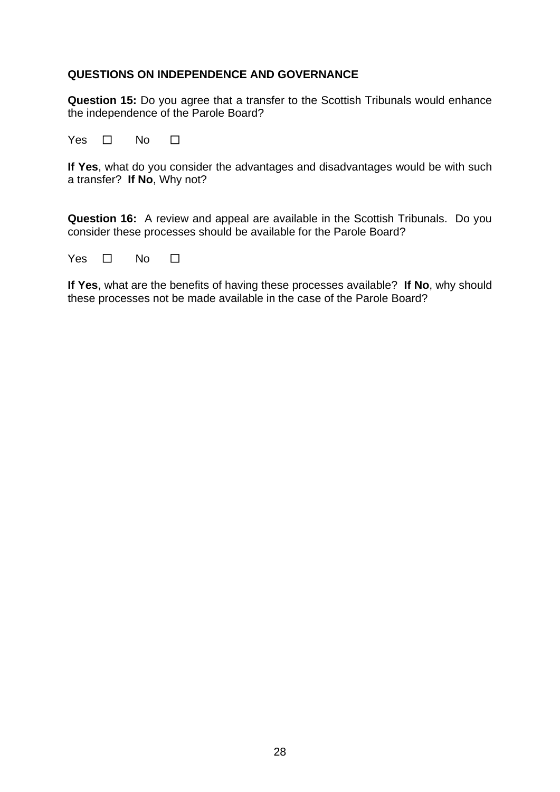#### **QUESTIONS ON INDEPENDENCE AND GOVERNANCE**

**Question 15:** Do you agree that a transfer to the Scottish Tribunals would enhance the independence of the Parole Board?

Yes □ No □

**If Yes**, what do you consider the advantages and disadvantages would be with such a transfer? **If No**, Why not?

**Question 16:** A review and appeal are available in the Scottish Tribunals. Do you consider these processes should be available for the Parole Board?

| Yes | No |  |
|-----|----|--|
|     |    |  |

**If Yes**, what are the benefits of having these processes available? **If No**, why should these processes not be made available in the case of the Parole Board?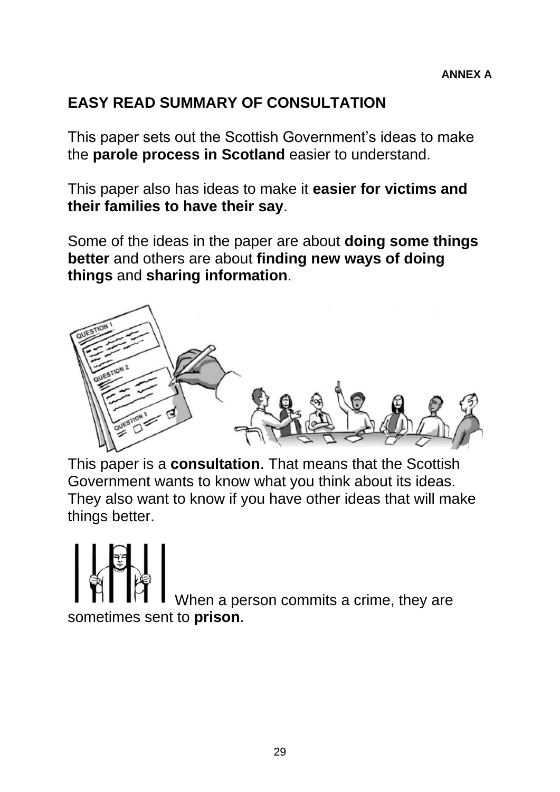## **EASY READ SUMMARY OF CONSULTATION**

This paper sets out the Scottish Government's ideas to make the **parole process in Scotland** easier to understand.

This paper also has ideas to make it **easier for victims and their families to have their say**.

Some of the ideas in the paper are about **doing some things better** and others are about **finding new ways of doing things** and **sharing information**.



This paper is a **consultation**. That means that the Scottish Government wants to know what you think about its ideas. They also want to know if you have other ideas that will make things better.

When a person commits a crime, they are sometimes sent to **prison**.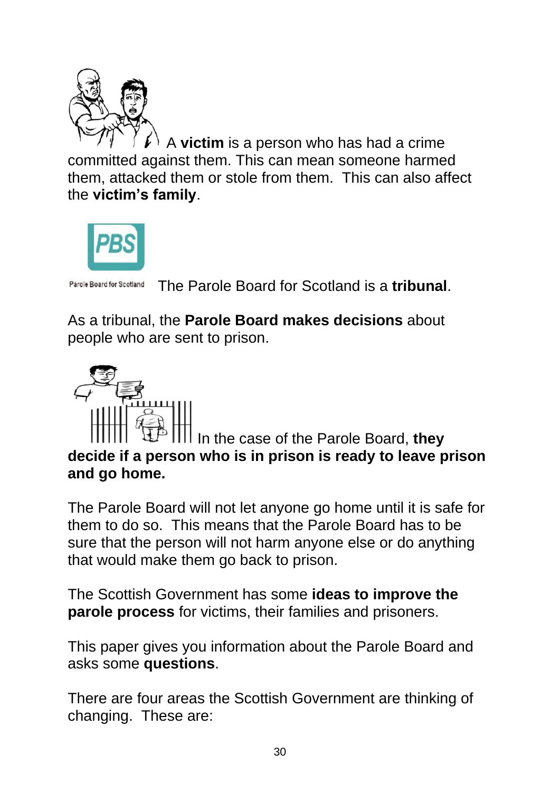

A **victim** is a person who has had a crime committed against them. This can mean someone harmed them, attacked them or stole from them. This can also affect the **victim's family**.



Parole Board for Scotland The Parole Board for Scotland is a **tribunal**.

As a tribunal, the **Parole Board makes decisions** about people who are sent to prison.



In the case of the Parole Board, **they decide if a person who is in prison is ready to leave prison and go home.**

The Parole Board will not let anyone go home until it is safe for them to do so. This means that the Parole Board has to be sure that the person will not harm anyone else or do anything that would make them go back to prison.

The Scottish Government has some **ideas to improve the parole process** for victims, their families and prisoners.

This paper gives you information about the Parole Board and asks some **questions**.

There are four areas the Scottish Government are thinking of changing. These are: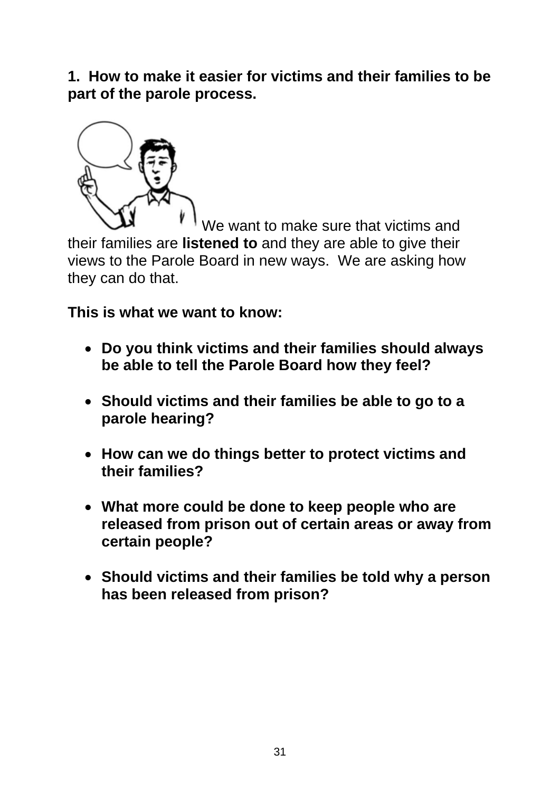**1. How to make it easier for victims and their families to be part of the parole process.**



We want to make sure that victims and their families are **listened to** and they are able to give their views to the Parole Board in new ways. We are asking how they can do that.

**This is what we want to know:**

- **Do you think victims and their families should always be able to tell the Parole Board how they feel?**
- **Should victims and their families be able to go to a parole hearing?**
- **How can we do things better to protect victims and their families?**
- **What more could be done to keep people who are released from prison out of certain areas or away from certain people?**
- **Should victims and their families be told why a person has been released from prison?**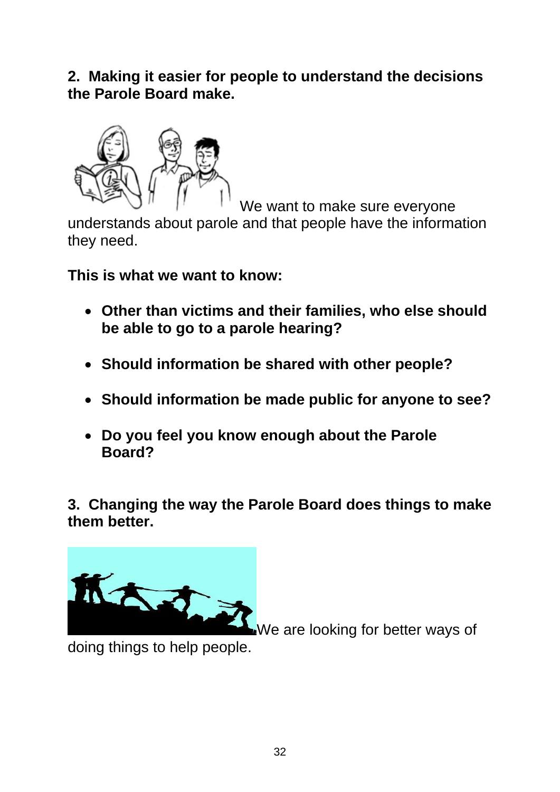**2. Making it easier for people to understand the decisions the Parole Board make.**



We want to make sure everyone

understands about parole and that people have the information they need.

**This is what we want to know:**

- **Other than victims and their families, who else should be able to go to a parole hearing?**
- **Should information be shared with other people?**
- **Should information be made public for anyone to see?**
- **Do you feel you know enough about the Parole Board?**

**3. Changing the way the Parole Board does things to make them better.**



We are looking for better ways of

doing things to help people.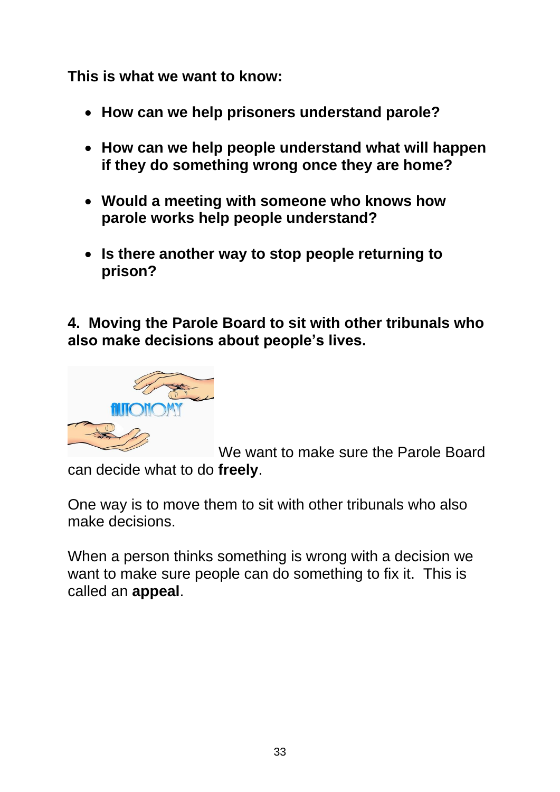**This is what we want to know:**

- **How can we help prisoners understand parole?**
- **How can we help people understand what will happen if they do something wrong once they are home?**
- **Would a meeting with someone who knows how parole works help people understand?**
- **Is there another way to stop people returning to prison?**

**4. Moving the Parole Board to sit with other tribunals who also make decisions about people's lives.**



We want to make sure the Parole Board can decide what to do **freely**.

One way is to move them to sit with other tribunals who also make decisions.

When a person thinks something is wrong with a decision we want to make sure people can do something to fix it. This is called an **appeal**.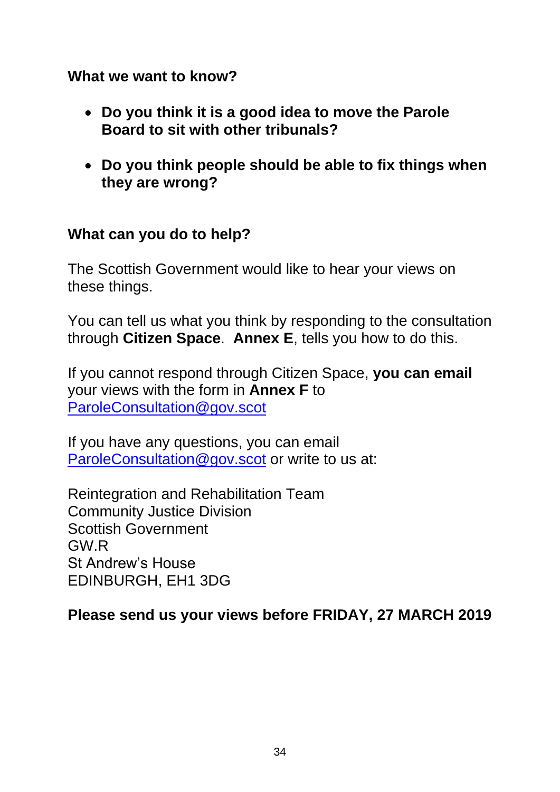## **What we want to know?**

- **Do you think it is a good idea to move the Parole Board to sit with other tribunals?**
- **Do you think people should be able to fix things when they are wrong?**

## **What can you do to help?**

The Scottish Government would like to hear your views on these things.

You can tell us what you think by responding to the consultation through **Citizen Space**. **Annex E**, tells you how to do this.

If you cannot respond through Citizen Space, **you can email** your views with the form in **Annex F** to [ParoleConsultation@gov.scot](mailto:ParoleConsultation@gov.scot) 

If you have any questions, you can email [ParoleConsultation@gov.scot](mailto:ParoleConsultation@gov.scot) or write to us at:

Reintegration and Rehabilitation Team Community Justice Division Scottish Government GW.R St Andrew's House EDINBURGH, EH1 3DG

**Please send us your views before FRIDAY, 27 MARCH 2019**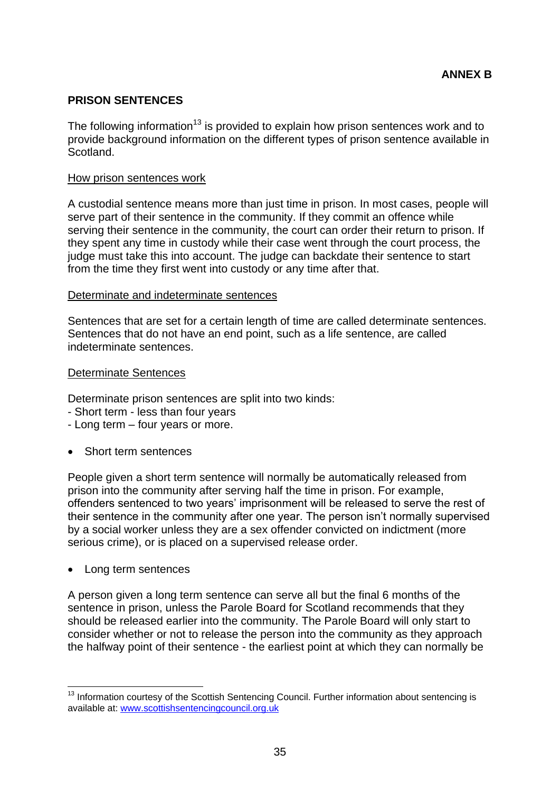#### **PRISON SENTENCES**

The following information<sup>13</sup> is provided to explain how prison sentences work and to provide background information on the different types of prison sentence available in Scotland.

#### How prison sentences work

A custodial sentence means more than just time in prison. In most cases, people will serve part of their sentence in the community. If they commit an offence while serving their sentence in the community, the court can order their return to prison. If they spent any time in custody while their case went through the court process, the judge must take this into account. The judge can backdate their sentence to start from the time they first went into custody or any time after that.

#### Determinate and indeterminate sentences

Sentences that are set for a certain length of time are called determinate sentences. Sentences that do not have an end point, such as a life sentence, are called indeterminate sentences.

#### Determinate Sentences

Determinate prison sentences are split into two kinds:

- Short term less than four years
- Long term four years or more.
- Short term sentences

People given a short term sentence will normally be automatically released from prison into the community after serving half the time in prison. For example, offenders sentenced to two years' imprisonment will be released to serve the rest of their sentence in the community after one year. The person isn't normally supervised by a social worker unless they are a sex offender convicted on indictment (more serious crime), or is placed on a supervised release order.

• Long term sentences

A person given a long term sentence can serve all but the final 6 months of the sentence in prison, unless the Parole Board for Scotland recommends that they should be released earlier into the community. The Parole Board will only start to consider whether or not to release the person into the community as they approach the halfway point of their sentence - the earliest point at which they can normally be

<sup>1</sup>  $13$  Information courtesy of the Scottish Sentencing Council. Further information about sentencing is available at: [www.scottishsentencingcouncil.org.uk](http://www.scottishsentencingcouncil.org.uk/)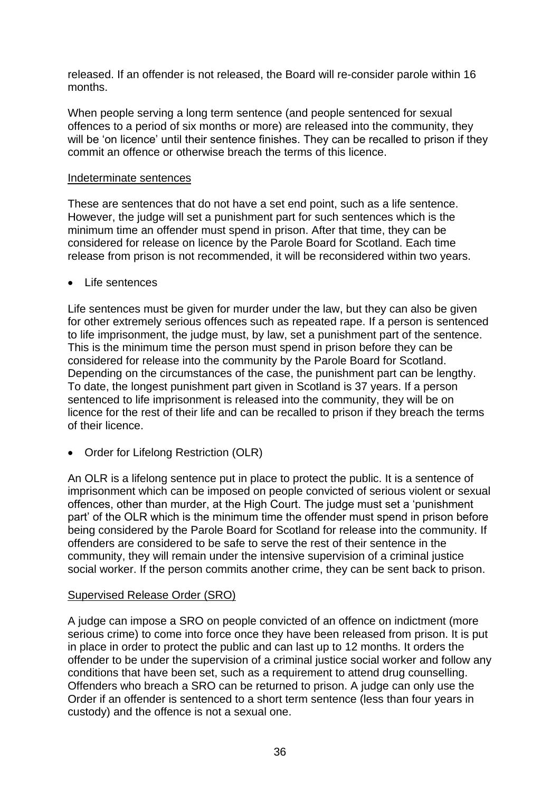released. If an offender is not released, the Board will re-consider parole within 16 months.

When people serving a long term sentence (and people sentenced for sexual offences to a period of six months or more) are released into the community, they will be 'on licence' until their sentence finishes. They can be recalled to prison if they commit an offence or otherwise breach the terms of this licence.

#### Indeterminate sentences

These are sentences that do not have a set end point, such as a life sentence. However, the judge will set a punishment part for such sentences which is the minimum time an offender must spend in prison. After that time, they can be considered for release on licence by the Parole Board for Scotland. Each time release from prison is not recommended, it will be reconsidered within two years.

#### Life sentences

Life sentences must be given for murder under the law, but they can also be given for other extremely serious offences such as repeated rape. If a person is sentenced to life imprisonment, the judge must, by law, set a punishment part of the sentence. This is the minimum time the person must spend in prison before they can be considered for release into the community by the Parole Board for Scotland. Depending on the circumstances of the case, the punishment part can be lengthy. To date, the longest punishment part given in Scotland is 37 years. If a person sentenced to life imprisonment is released into the community, they will be on licence for the rest of their life and can be recalled to prison if they breach the terms of their licence.

• Order for Lifelong Restriction (OLR)

An OLR is a lifelong sentence put in place to protect the public. It is a sentence of imprisonment which can be imposed on people convicted of serious violent or sexual offences, other than murder, at the High Court. The judge must set a 'punishment part' of the OLR which is the minimum time the offender must spend in prison before being considered by the Parole Board for Scotland for release into the community. If offenders are considered to be safe to serve the rest of their sentence in the community, they will remain under the intensive supervision of a criminal justice social worker. If the person commits another crime, they can be sent back to prison.

#### Supervised Release Order (SRO)

A judge can impose a SRO on people convicted of an offence on indictment (more serious crime) to come into force once they have been released from prison. It is put in place in order to protect the public and can last up to 12 months. It orders the offender to be under the supervision of a criminal justice social worker and follow any conditions that have been set, such as a requirement to attend drug counselling. Offenders who breach a SRO can be returned to prison. A judge can only use the Order if an offender is sentenced to a short term sentence (less than four years in custody) and the offence is not a sexual one.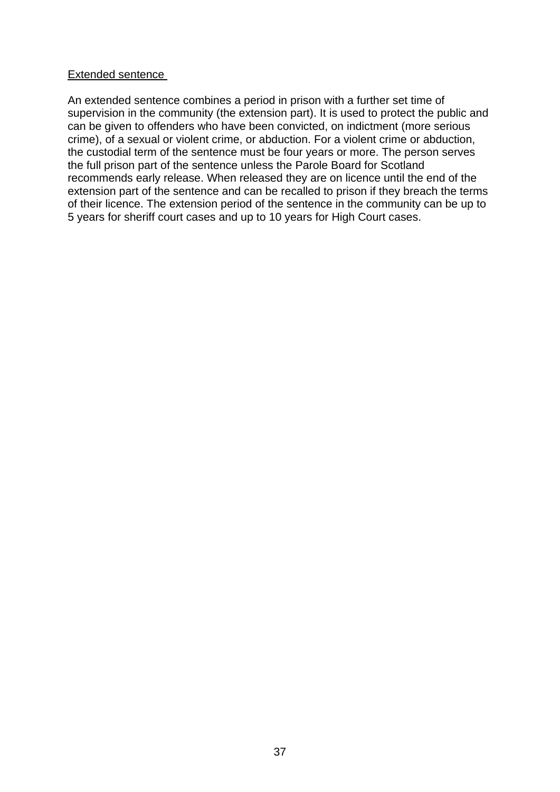#### Extended sentence

An extended sentence combines a period in prison with a further set time of supervision in the community (the extension part). It is used to protect the public and can be given to offenders who have been convicted, on indictment (more serious crime), of a sexual or violent crime, or abduction. For a violent crime or abduction, the custodial term of the sentence must be four years or more. The person serves the full prison part of the sentence unless the Parole Board for Scotland recommends early release. When released they are on licence until the end of the extension part of the sentence and can be recalled to prison if they breach the terms of their licence. The extension period of the sentence in the community can be up to 5 years for sheriff court cases and up to 10 years for High Court cases.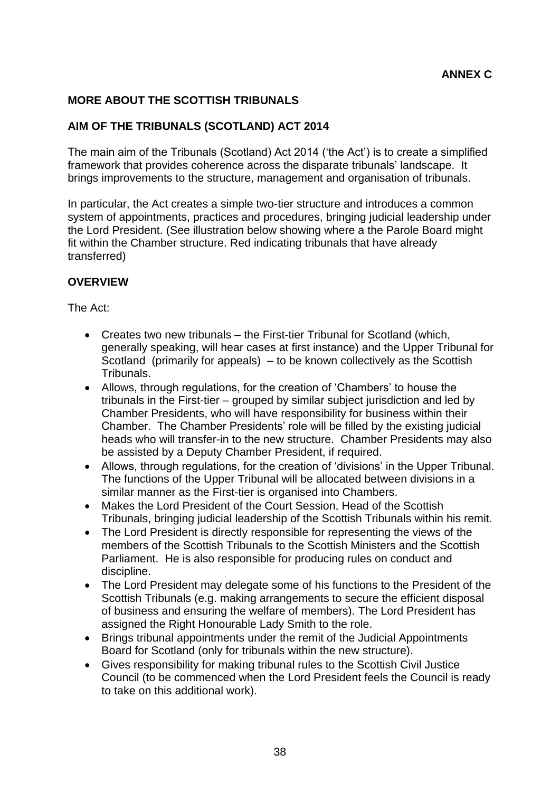## **MORE ABOUT THE SCOTTISH TRIBUNALS**

## **AIM OF THE TRIBUNALS (SCOTLAND) ACT 2014**

The main aim of the Tribunals (Scotland) Act 2014 ('the Act') is to create a simplified framework that provides coherence across the disparate tribunals' landscape. It brings improvements to the structure, management and organisation of tribunals.

In particular, the Act creates a simple two-tier structure and introduces a common system of appointments, practices and procedures, bringing judicial leadership under the Lord President. (See illustration below showing where a the Parole Board might fit within the Chamber structure. Red indicating tribunals that have already transferred)

#### **OVERVIEW**

The Act:

- Creates two new tribunals the First-tier Tribunal for Scotland (which, generally speaking, will hear cases at first instance) and the Upper Tribunal for Scotland (primarily for appeals) – to be known collectively as the Scottish Tribunals.
- Allows, through regulations, for the creation of 'Chambers' to house the tribunals in the First-tier – grouped by similar subject jurisdiction and led by Chamber Presidents, who will have responsibility for business within their Chamber. The Chamber Presidents' role will be filled by the existing judicial heads who will transfer-in to the new structure. Chamber Presidents may also be assisted by a Deputy Chamber President, if required.
- Allows, through regulations, for the creation of 'divisions' in the Upper Tribunal. The functions of the Upper Tribunal will be allocated between divisions in a similar manner as the First-tier is organised into Chambers.
- Makes the Lord President of the Court Session, Head of the Scottish Tribunals, bringing judicial leadership of the Scottish Tribunals within his remit.
- The Lord President is directly responsible for representing the views of the members of the Scottish Tribunals to the Scottish Ministers and the Scottish Parliament. He is also responsible for producing rules on conduct and discipline.
- The Lord President may delegate some of his functions to the President of the Scottish Tribunals (e.g. making arrangements to secure the efficient disposal of business and ensuring the welfare of members). The Lord President has assigned the Right Honourable Lady Smith to the role.
- Brings tribunal appointments under the remit of the Judicial Appointments Board for Scotland (only for tribunals within the new structure).
- Gives responsibility for making tribunal rules to the Scottish Civil Justice Council (to be commenced when the Lord President feels the Council is ready to take on this additional work).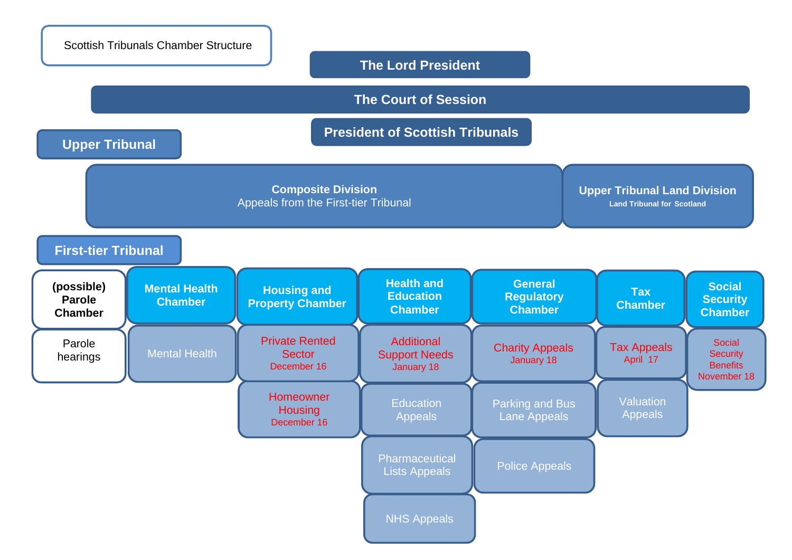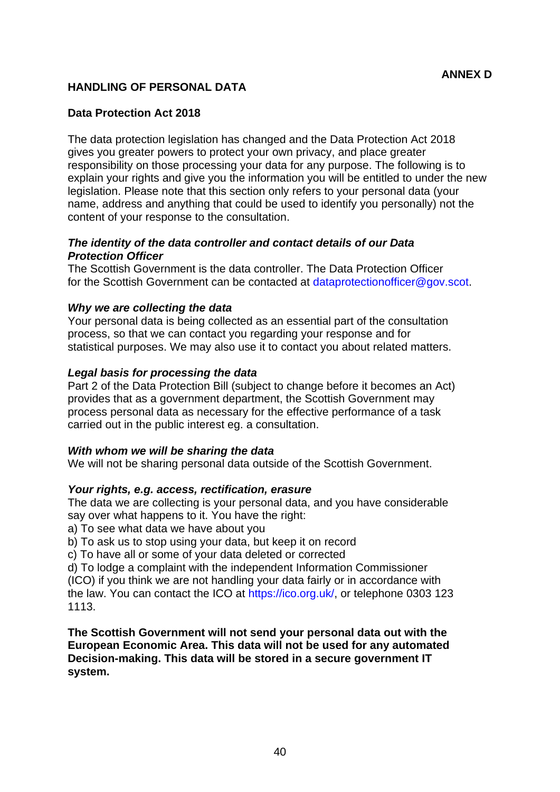## **HANDLING OF PERSONAL DATA**

#### **Data Protection Act 2018**

The data protection legislation has changed and the Data Protection Act 2018 gives you greater powers to protect your own privacy, and place greater responsibility on those processing your data for any purpose. The following is to explain your rights and give you the information you will be entitled to under the new legislation. Please note that this section only refers to your personal data (your name, address and anything that could be used to identify you personally) not the content of your response to the consultation.

#### *The identity of the data controller and contact details of our Data Protection Officer*

The Scottish Government is the data controller. The Data Protection Officer for the Scottish Government can be contacted at dataprotectionofficer@gov.scot.

#### *Why we are collecting the data*

Your personal data is being collected as an essential part of the consultation process, so that we can contact you regarding your response and for statistical purposes. We may also use it to contact you about related matters.

#### *Legal basis for processing the data*

Part 2 of the Data Protection Bill (subject to change before it becomes an Act) provides that as a government department, the Scottish Government may process personal data as necessary for the effective performance of a task carried out in the public interest eg. a consultation.

#### *With whom we will be sharing the data*

We will not be sharing personal data outside of the Scottish Government.

#### *Your rights, e.g. access, rectification, erasure*

The data we are collecting is your personal data, and you have considerable say over what happens to it. You have the right:

a) To see what data we have about you

b) To ask us to stop using your data, but keep it on record

c) To have all or some of your data deleted or corrected

d) To lodge a complaint with the independent Information Commissioner (ICO) if you think we are not handling your data fairly or in accordance with the law. You can contact the ICO at https://ico.org.uk/, or telephone 0303 123 1113.

**The Scottish Government will not send your personal data out with the European Economic Area. This data will not be used for any automated Decision-making. This data will be stored in a secure government IT system.**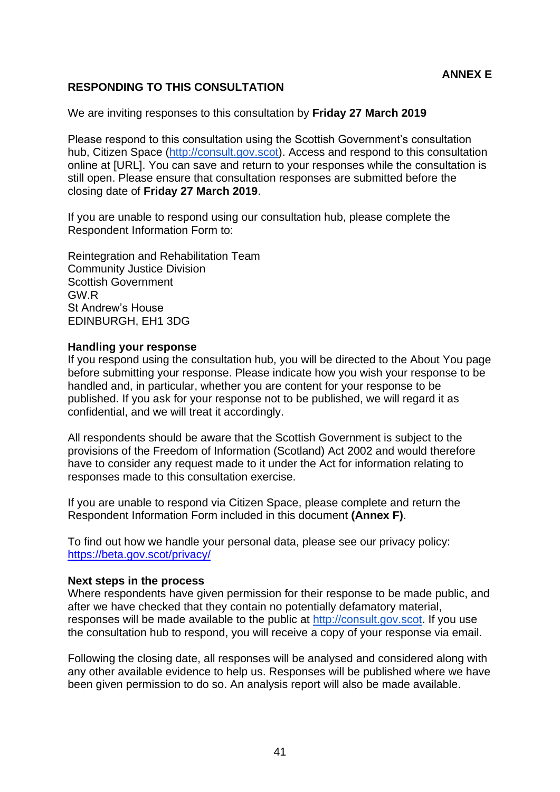## **ANNEX E**

#### **RESPONDING TO THIS CONSULTATION**

We are inviting responses to this consultation by **Friday 27 March 2019**

Please respond to this consultation using the Scottish Government's consultation hub. Citizen Space [\(http://consult.gov.scot\)](http://consult.gov.scot/). Access and respond to this consultation online at [URL]. You can save and return to your responses while the consultation is still open. Please ensure that consultation responses are submitted before the closing date of **Friday 27 March 2019**.

If you are unable to respond using our consultation hub, please complete the Respondent Information Form to:

Reintegration and Rehabilitation Team Community Justice Division Scottish Government GW.R St Andrew's House EDINBURGH, EH1 3DG

#### **Handling your response**

If you respond using the consultation hub, you will be directed to the About You page before submitting your response. Please indicate how you wish your response to be handled and, in particular, whether you are content for your response to be published. If you ask for your response not to be published, we will regard it as confidential, and we will treat it accordingly.

All respondents should be aware that the Scottish Government is subject to the provisions of the Freedom of Information (Scotland) Act 2002 and would therefore have to consider any request made to it under the Act for information relating to responses made to this consultation exercise.

If you are unable to respond via Citizen Space, please complete and return the Respondent Information Form included in this document **(Annex F)**.

To find out how we handle your personal data, please see our privacy policy: <https://beta.gov.scot/privacy/>

#### **Next steps in the process**

Where respondents have given permission for their response to be made public, and after we have checked that they contain no potentially defamatory material, responses will be made available to the public at [http://consult.gov.scot.](http://consult.gov.scot/) If you use the consultation hub to respond, you will receive a copy of your response via email.

Following the closing date, all responses will be analysed and considered along with any other available evidence to help us. Responses will be published where we have been given permission to do so. An analysis report will also be made available.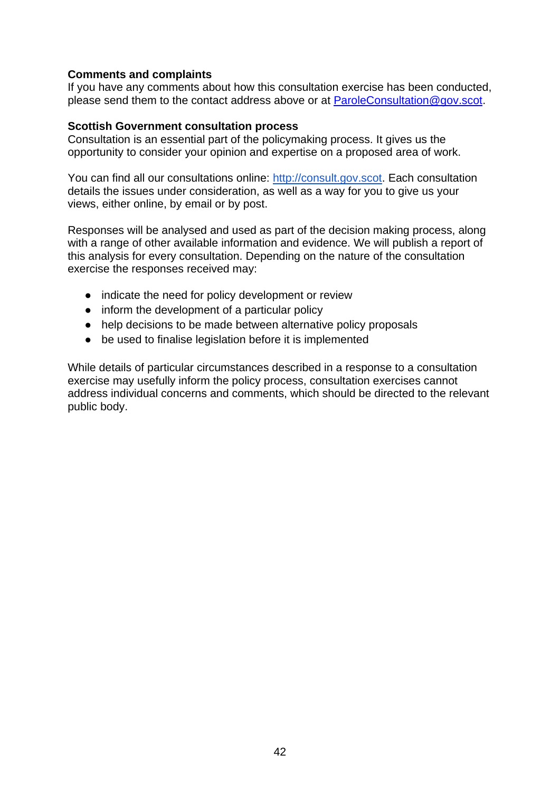#### **Comments and complaints**

If you have any comments about how this consultation exercise has been conducted, please send them to the contact address above or at [ParoleConsultation@gov.scot.](mailto:ParoleConsultation@gov.scot)

#### **Scottish Government consultation process**

Consultation is an essential part of the policymaking process. It gives us the opportunity to consider your opinion and expertise on a proposed area of work.

You can find all our consultations online: [http://consult.gov.scot.](http://consult.gov.scot/) Each consultation details the issues under consideration, as well as a way for you to give us your views, either online, by email or by post.

Responses will be analysed and used as part of the decision making process, along with a range of other available information and evidence. We will publish a report of this analysis for every consultation. Depending on the nature of the consultation exercise the responses received may:

- indicate the need for policy development or review
- inform the development of a particular policy
- help decisions to be made between alternative policy proposals
- be used to finalise legislation before it is implemented

While details of particular circumstances described in a response to a consultation exercise may usefully inform the policy process, consultation exercises cannot address individual concerns and comments, which should be directed to the relevant public body.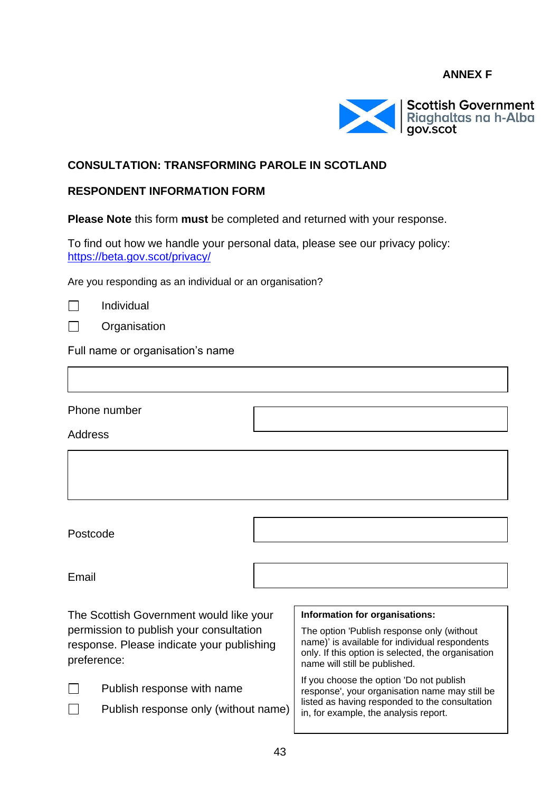## **ANNEX F**



#### **CONSULTATION: TRANSFORMING PAROLE IN SCOTLAND**

#### **RESPONDENT INFORMATION FORM**

**Please Note** this form **must** be completed and returned with your response.

To find out how we handle your personal data, please see our privacy policy: <https://beta.gov.scot/privacy/>

Are you responding as an individual or an organisation?

Individual

**Organisation** 

Full name or organisation's name

Phone number

**Address** 

Postcode

Email

П

The Scottish Government would like your permission to publish your consultation response. Please indicate your publishing preference:

| $\Box$<br>Publish response with name |
|--------------------------------------|
|--------------------------------------|

Publish response only (without name)

#### **Information for organisations:**

The option 'Publish response only (without name)' is available for individual respondents only. If this option is selected, the organisation name will still be published.

If you choose the option 'Do not publish response', your organisation name may still be listed as having responded to the consultation in, for example, the analysis report.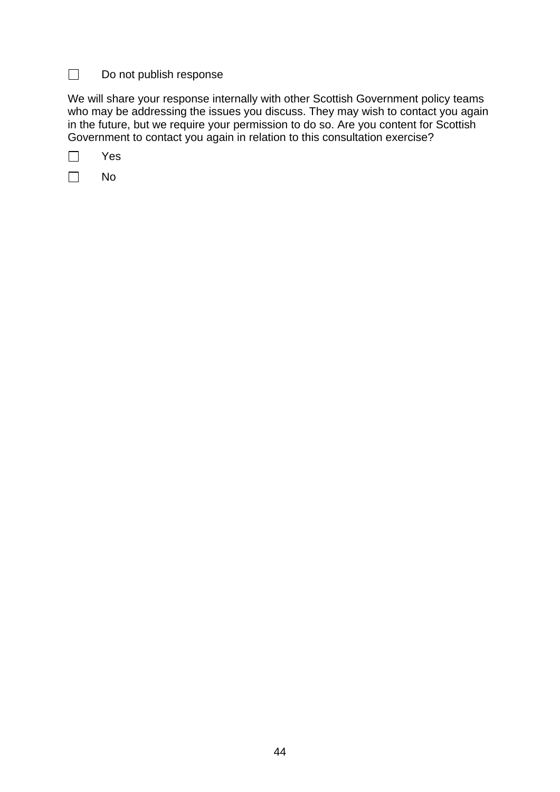#### $\Box$ Do not publish response

We will share your response internally with other Scottish Government policy teams who may be addressing the issues you discuss. They may wish to contact you again in the future, but we require your permission to do so. Are you content for Scottish Government to contact you again in relation to this consultation exercise?

Yes  $\Box$ 

 $\Box$ No